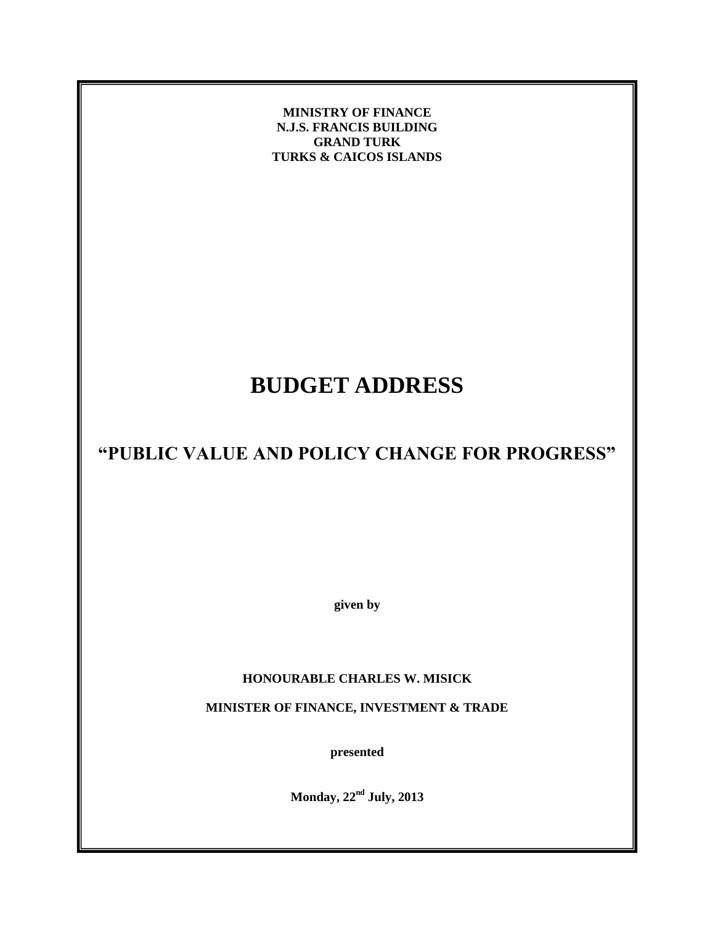**MINISTRY OF FINANCE N.J.S. FRANCIS BUILDING GRAND TURK TURKS & CAICOS ISLANDS**

# **BUDGET ADDRESS**

## **"PUBLIC VALUE AND POLICY CHANGE FOR PROGRESS"**

**given by**

### **HONOURABLE CHARLES W. MISICK**

**MINISTER OF FINANCE, INVESTMENT & TRADE**

**presented**

**Monday, 22nd July, 2013**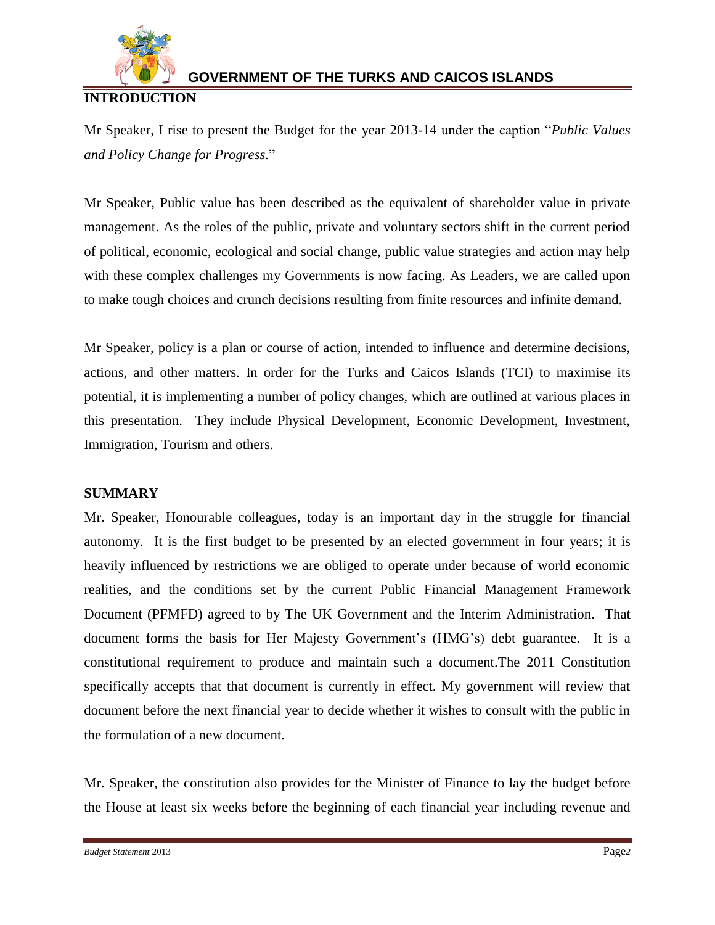

### **INTRODUCTION**

Mr Speaker, I rise to present the Budget for the year 2013-14 under the caption "*Public Values and Policy Change for Progress.*"

Mr Speaker, Public value has been described as the equivalent of shareholder value in private management. As the roles of the public, private and voluntary sectors shift in the current period of political, economic, ecological and social change, public value strategies and action may help with these complex challenges my Governments is now facing. As Leaders, we are called upon to make tough choices and crunch decisions resulting from finite resources and infinite demand.

Mr Speaker, policy is a plan or course of action, intended to influence and determine decisions, actions, and other matters. In order for the Turks and Caicos Islands (TCI) to maximise its potential, it is implementing a number of policy changes, which are outlined at various places in this presentation. They include Physical Development, Economic Development, Investment, Immigration, Tourism and others.

### **SUMMARY**

Mr. Speaker, Honourable colleagues, today is an important day in the struggle for financial autonomy. It is the first budget to be presented by an elected government in four years; it is heavily influenced by restrictions we are obliged to operate under because of world economic realities, and the conditions set by the current Public Financial Management Framework Document (PFMFD) agreed to by The UK Government and the Interim Administration. That document forms the basis for Her Majesty Government's (HMG's) debt guarantee. It is a constitutional requirement to produce and maintain such a document.The 2011 Constitution specifically accepts that that document is currently in effect. My government will review that document before the next financial year to decide whether it wishes to consult with the public in the formulation of a new document.

Mr. Speaker, the constitution also provides for the Minister of Finance to lay the budget before the House at least six weeks before the beginning of each financial year including revenue and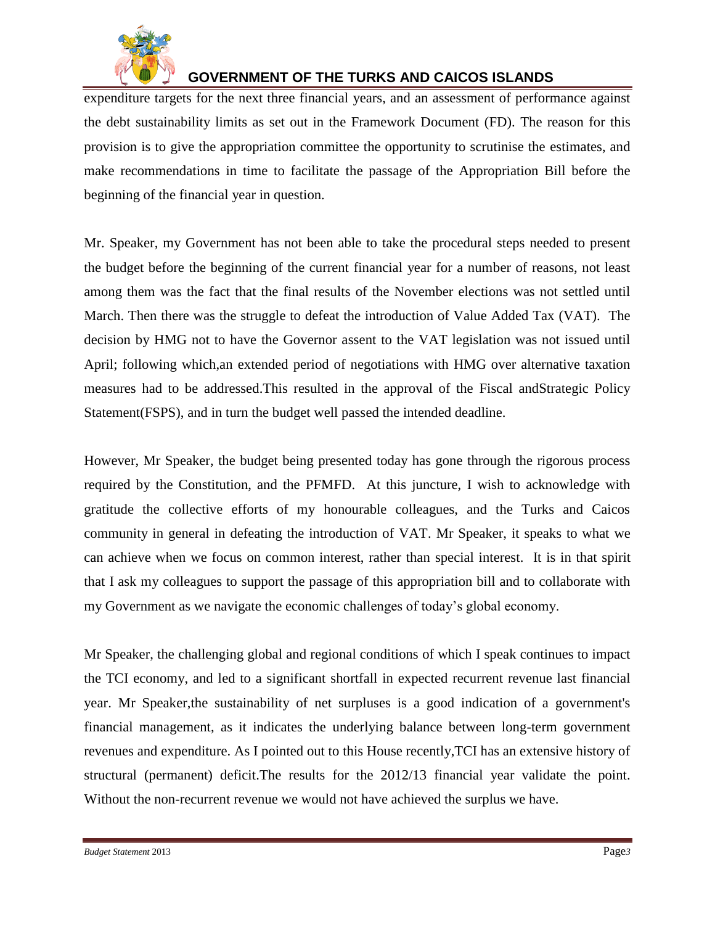

expenditure targets for the next three financial years, and an assessment of performance against the debt sustainability limits as set out in the Framework Document (FD). The reason for this provision is to give the appropriation committee the opportunity to scrutinise the estimates, and make recommendations in time to facilitate the passage of the Appropriation Bill before the beginning of the financial year in question.

Mr. Speaker, my Government has not been able to take the procedural steps needed to present the budget before the beginning of the current financial year for a number of reasons, not least among them was the fact that the final results of the November elections was not settled until March. Then there was the struggle to defeat the introduction of Value Added Tax (VAT). The decision by HMG not to have the Governor assent to the VAT legislation was not issued until April; following which,an extended period of negotiations with HMG over alternative taxation measures had to be addressed.This resulted in the approval of the Fiscal andStrategic Policy Statement(FSPS), and in turn the budget well passed the intended deadline.

However, Mr Speaker, the budget being presented today has gone through the rigorous process required by the Constitution, and the PFMFD. At this juncture, I wish to acknowledge with gratitude the collective efforts of my honourable colleagues, and the Turks and Caicos community in general in defeating the introduction of VAT. Mr Speaker, it speaks to what we can achieve when we focus on common interest, rather than special interest. It is in that spirit that I ask my colleagues to support the passage of this appropriation bill and to collaborate with my Government as we navigate the economic challenges of today's global economy.

Mr Speaker, the challenging global and regional conditions of which I speak continues to impact the TCI economy, and led to a significant shortfall in expected recurrent revenue last financial year. Mr Speaker,the sustainability of net surpluses is a good indication of a government's financial management, as it indicates the underlying balance between long-term government revenues and expenditure. As I pointed out to this House recently,TCI has an extensive history of structural (permanent) deficit.The results for the 2012/13 financial year validate the point. Without the non-recurrent revenue we would not have achieved the surplus we have.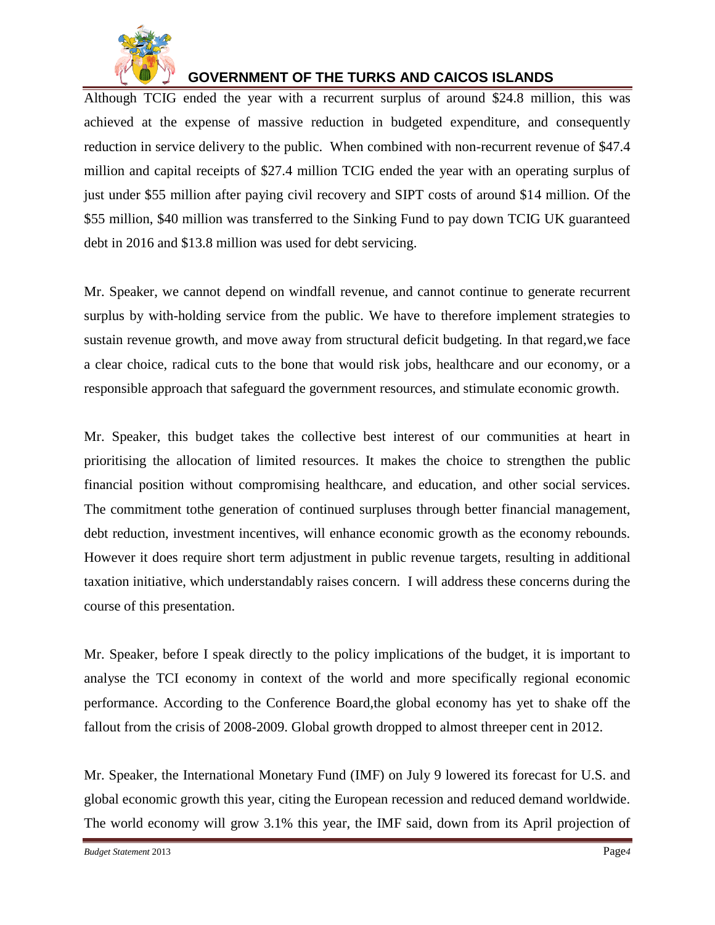

Although TCIG ended the year with a recurrent surplus of around \$24.8 million, this was achieved at the expense of massive reduction in budgeted expenditure, and consequently reduction in service delivery to the public. When combined with non-recurrent revenue of \$47.4 million and capital receipts of \$27.4 million TCIG ended the year with an operating surplus of just under \$55 million after paying civil recovery and SIPT costs of around \$14 million. Of the \$55 million, \$40 million was transferred to the Sinking Fund to pay down TCIG UK guaranteed debt in 2016 and \$13.8 million was used for debt servicing.

Mr. Speaker, we cannot depend on windfall revenue, and cannot continue to generate recurrent surplus by with-holding service from the public. We have to therefore implement strategies to sustain revenue growth, and move away from structural deficit budgeting. In that regard,we face a clear choice, radical cuts to the bone that would risk jobs, healthcare and our economy, or a responsible approach that safeguard the government resources, and stimulate economic growth.

Mr. Speaker, this budget takes the collective best interest of our communities at heart in prioritising the allocation of limited resources. It makes the choice to strengthen the public financial position without compromising healthcare, and education, and other social services. The commitment tothe generation of continued surpluses through better financial management, debt reduction, investment incentives, will enhance economic growth as the economy rebounds. However it does require short term adjustment in public revenue targets, resulting in additional taxation initiative, which understandably raises concern. I will address these concerns during the course of this presentation.

Mr. Speaker, before I speak directly to the policy implications of the budget, it is important to analyse the TCI economy in context of the world and more specifically regional economic performance. According to the Conference Board,the global economy has yet to shake off the fallout from the crisis of 2008-2009. Global growth dropped to almost threeper cent in 2012.

Mr. Speaker, the International Monetary Fund (IMF) on July 9 lowered its forecast for U.S. and global economic growth this year, citing the European recession and reduced demand worldwide. The world economy will grow 3.1% this year, the IMF said, down from its April projection of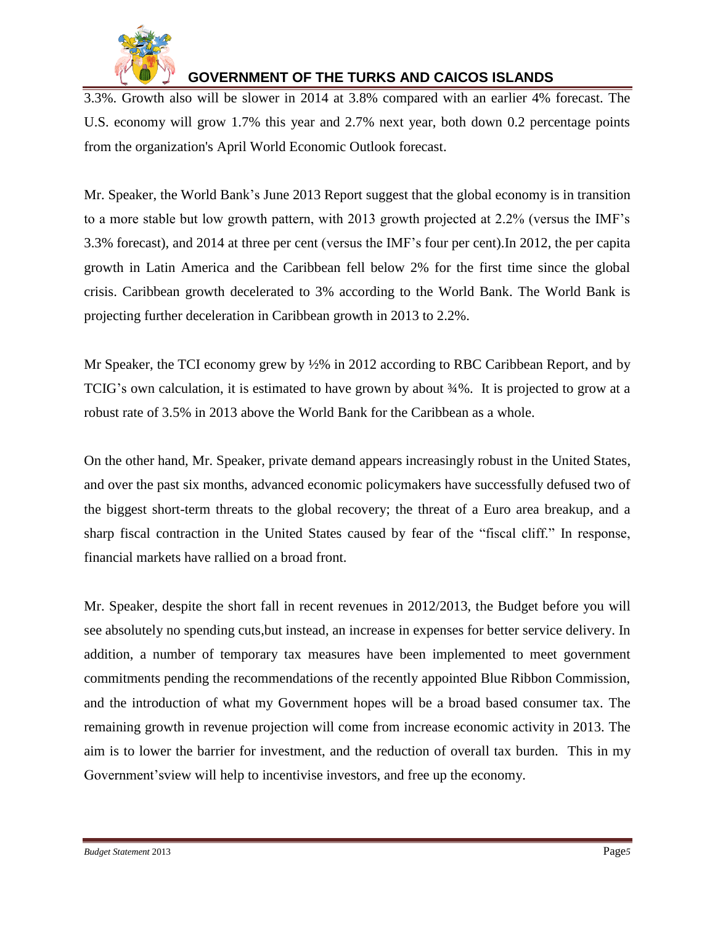

3.3%. Growth also will be slower in 2014 at 3.8% compared with an earlier 4% forecast. The U.S. economy will grow 1.7% this year and 2.7% next year, both down 0.2 percentage points from the organization's April World Economic Outlook forecast.

Mr. Speaker, the World Bank's June 2013 Report suggest that the global economy is in transition to a more stable but low growth pattern, with 2013 growth projected at 2.2% (versus the IMF's 3.3% forecast), and 2014 at three per cent (versus the IMF's four per cent).In 2012, the per capita growth in Latin America and the Caribbean fell below 2% for the first time since the global crisis. Caribbean growth decelerated to 3% according to the World Bank. The World Bank is projecting further deceleration in Caribbean growth in 2013 to 2.2%.

Mr Speaker, the TCI economy grew by  $\frac{1}{2}\%$  in 2012 according to RBC Caribbean Report, and by TCIG's own calculation, it is estimated to have grown by about ¾%. It is projected to grow at a robust rate of 3.5% in 2013 above the World Bank for the Caribbean as a whole.

On the other hand, Mr. Speaker, private demand appears increasingly robust in the United States, and over the past six months, advanced economic policymakers have successfully defused two of the biggest short-term threats to the global recovery; the threat of a Euro area breakup, and a sharp fiscal contraction in the United States caused by fear of the "fiscal cliff." In response, financial markets have rallied on a broad front.

Mr. Speaker, despite the short fall in recent revenues in 2012/2013, the Budget before you will see absolutely no spending cuts,but instead, an increase in expenses for better service delivery. In addition, a number of temporary tax measures have been implemented to meet government commitments pending the recommendations of the recently appointed Blue Ribbon Commission, and the introduction of what my Government hopes will be a broad based consumer tax. The remaining growth in revenue projection will come from increase economic activity in 2013. The aim is to lower the barrier for investment, and the reduction of overall tax burden. This in my Government'sview will help to incentivise investors, and free up the economy.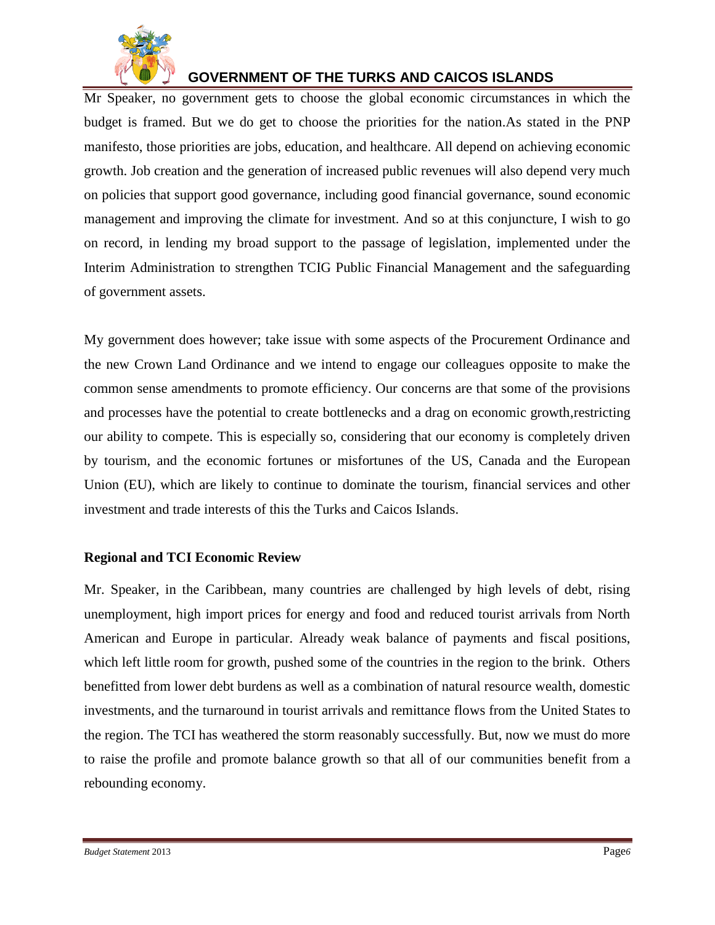

Mr Speaker, no government gets to choose the global economic circumstances in which the budget is framed. But we do get to choose the priorities for the nation.As stated in the PNP manifesto, those priorities are jobs, education, and healthcare. All depend on achieving economic growth. Job creation and the generation of increased public revenues will also depend very much on policies that support good governance, including good financial governance, sound economic management and improving the climate for investment. And so at this conjuncture, I wish to go on record, in lending my broad support to the passage of legislation, implemented under the Interim Administration to strengthen TCIG Public Financial Management and the safeguarding of government assets.

My government does however; take issue with some aspects of the Procurement Ordinance and the new Crown Land Ordinance and we intend to engage our colleagues opposite to make the common sense amendments to promote efficiency. Our concerns are that some of the provisions and processes have the potential to create bottlenecks and a drag on economic growth,restricting our ability to compete. This is especially so, considering that our economy is completely driven by tourism, and the economic fortunes or misfortunes of the US, Canada and the European Union (EU), which are likely to continue to dominate the tourism, financial services and other investment and trade interests of this the Turks and Caicos Islands.

#### **Regional and TCI Economic Review**

Mr. Speaker, in the Caribbean, many countries are challenged by high levels of debt, rising unemployment, high import prices for energy and food and reduced tourist arrivals from North American and Europe in particular. Already weak balance of payments and fiscal positions, which left little room for growth, pushed some of the countries in the region to the brink. Others benefitted from lower debt burdens as well as a combination of natural resource wealth, domestic investments, and the turnaround in tourist arrivals and remittance flows from the United States to the region. The TCI has weathered the storm reasonably successfully. But, now we must do more to raise the profile and promote balance growth so that all of our communities benefit from a rebounding economy.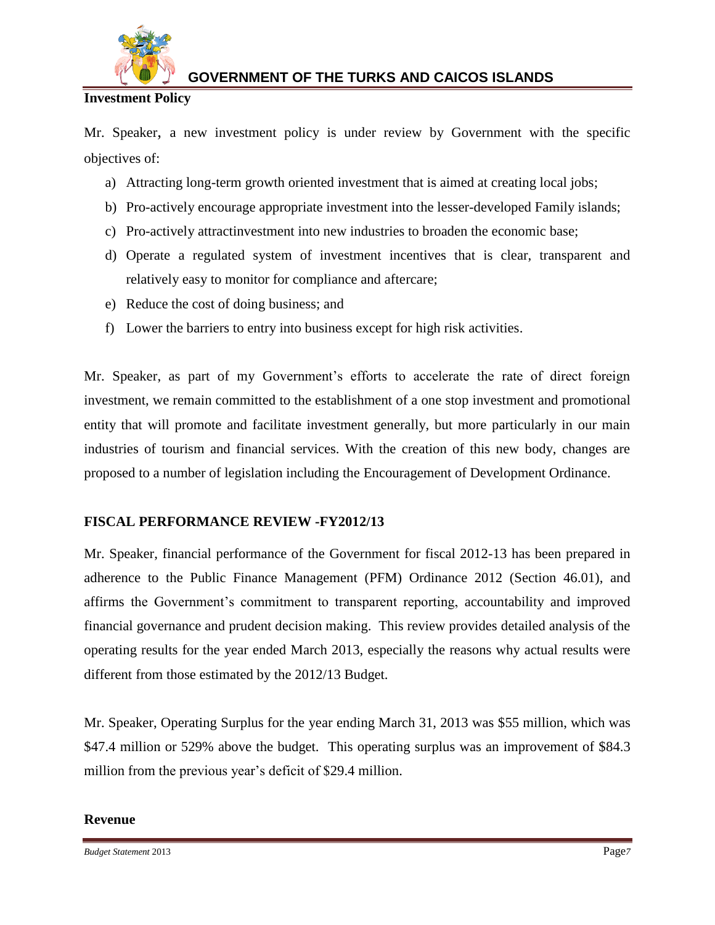

### **Investment Policy**

Mr. Speaker, a new investment policy is under review by Government with the specific objectives of:

- a) Attracting long-term growth oriented investment that is aimed at creating local jobs;
- b) Pro-actively encourage appropriate investment into the lesser-developed Family islands;
- c) Pro-actively attractinvestment into new industries to broaden the economic base;
- d) Operate a regulated system of investment incentives that is clear, transparent and relatively easy to monitor for compliance and aftercare;
- e) Reduce the cost of doing business; and
- f) Lower the barriers to entry into business except for high risk activities.

Mr. Speaker, as part of my Government's efforts to accelerate the rate of direct foreign investment, we remain committed to the establishment of a one stop investment and promotional entity that will promote and facilitate investment generally, but more particularly in our main industries of tourism and financial services. With the creation of this new body, changes are proposed to a number of legislation including the Encouragement of Development Ordinance.

### **FISCAL PERFORMANCE REVIEW -FY2012/13**

Mr. Speaker, financial performance of the Government for fiscal 2012-13 has been prepared in adherence to the Public Finance Management (PFM) Ordinance 2012 (Section 46.01), and affirms the Government's commitment to transparent reporting, accountability and improved financial governance and prudent decision making. This review provides detailed analysis of the operating results for the year ended March 2013, especially the reasons why actual results were different from those estimated by the 2012/13 Budget.

Mr. Speaker, Operating Surplus for the year ending March 31, 2013 was \$55 million, which was \$47.4 million or 529% above the budget. This operating surplus was an improvement of \$84.3 million from the previous year's deficit of \$29.4 million.

#### **Revenue**

*Budget Statement* 2013 Page*7*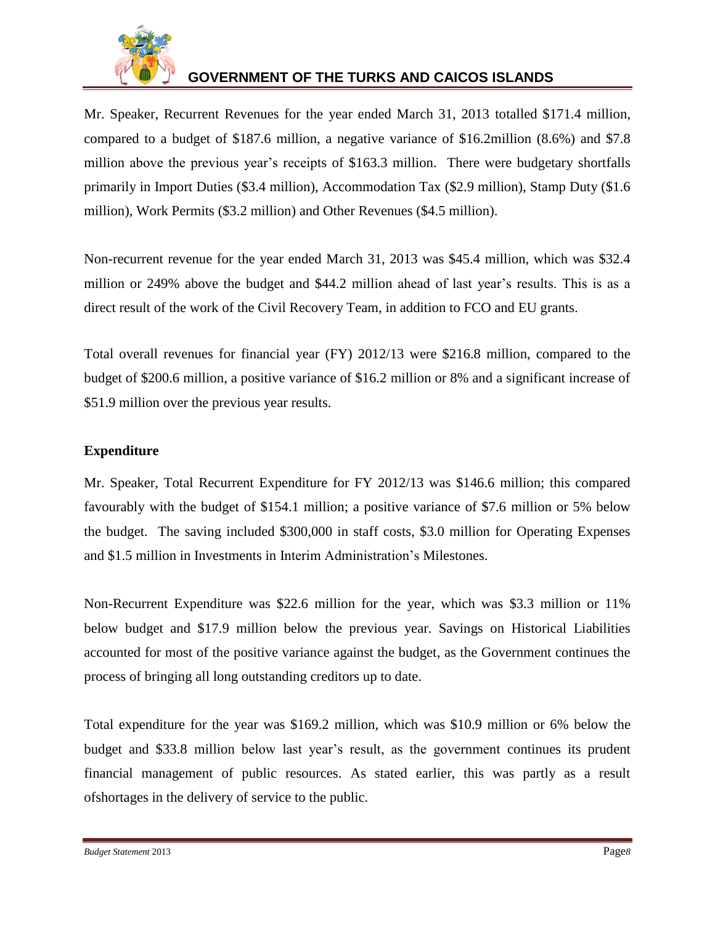

Mr. Speaker, Recurrent Revenues for the year ended March 31, 2013 totalled \$171.4 million, compared to a budget of \$187.6 million, a negative variance of \$16.2million (8.6%) and \$7.8 million above the previous year's receipts of \$163.3 million. There were budgetary shortfalls primarily in Import Duties (\$3.4 million), Accommodation Tax (\$2.9 million), Stamp Duty (\$1.6 million), Work Permits (\$3.2 million) and Other Revenues (\$4.5 million).

Non-recurrent revenue for the year ended March 31, 2013 was \$45.4 million, which was \$32.4 million or 249% above the budget and \$44.2 million ahead of last year's results. This is as a direct result of the work of the Civil Recovery Team, in addition to FCO and EU grants.

Total overall revenues for financial year (FY) 2012/13 were \$216.8 million, compared to the budget of \$200.6 million, a positive variance of \$16.2 million or 8% and a significant increase of \$51.9 million over the previous year results.

### **Expenditure**

Mr. Speaker, Total Recurrent Expenditure for FY 2012/13 was \$146.6 million; this compared favourably with the budget of \$154.1 million; a positive variance of \$7.6 million or 5% below the budget. The saving included \$300,000 in staff costs, \$3.0 million for Operating Expenses and \$1.5 million in Investments in Interim Administration's Milestones.

Non-Recurrent Expenditure was \$22.6 million for the year, which was \$3.3 million or 11% below budget and \$17.9 million below the previous year. Savings on Historical Liabilities accounted for most of the positive variance against the budget, as the Government continues the process of bringing all long outstanding creditors up to date.

Total expenditure for the year was \$169.2 million, which was \$10.9 million or 6% below the budget and \$33.8 million below last year's result, as the government continues its prudent financial management of public resources. As stated earlier, this was partly as a result ofshortages in the delivery of service to the public.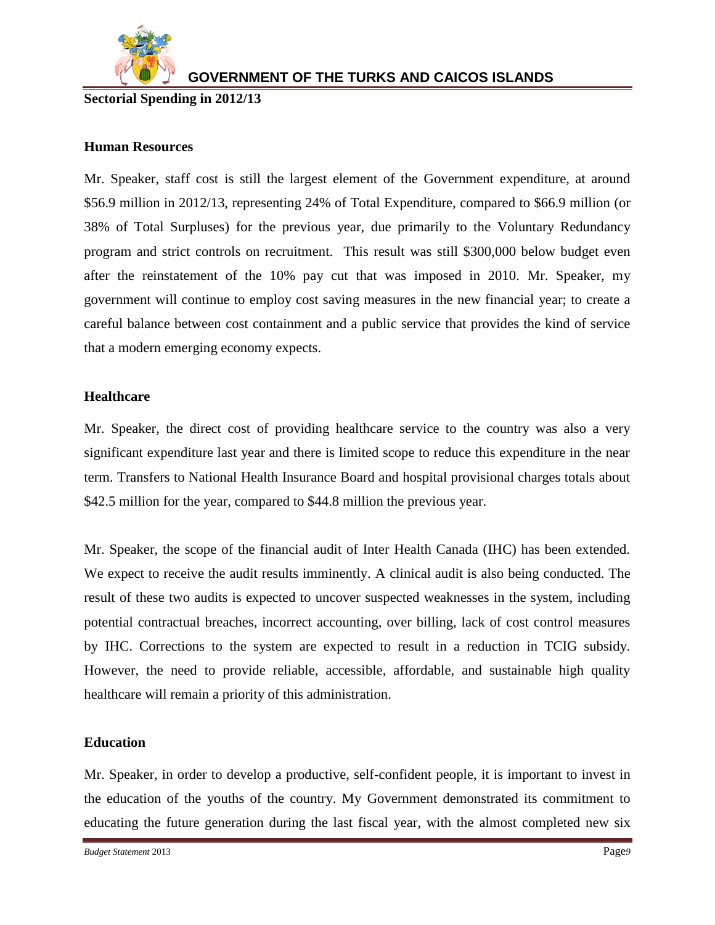

### **Sectorial Spending in 2012/13**

### **Human Resources**

Mr. Speaker, staff cost is still the largest element of the Government expenditure, at around \$56.9 million in 2012/13, representing 24% of Total Expenditure, compared to \$66.9 million (or 38% of Total Surpluses) for the previous year, due primarily to the Voluntary Redundancy program and strict controls on recruitment. This result was still \$300,000 below budget even after the reinstatement of the 10% pay cut that was imposed in 2010. Mr. Speaker, my government will continue to employ cost saving measures in the new financial year; to create a careful balance between cost containment and a public service that provides the kind of service that a modern emerging economy expects.

#### **Healthcare**

Mr. Speaker, the direct cost of providing healthcare service to the country was also a very significant expenditure last year and there is limited scope to reduce this expenditure in the near term. Transfers to National Health Insurance Board and hospital provisional charges totals about \$42.5 million for the year, compared to \$44.8 million the previous year.

Mr. Speaker, the scope of the financial audit of Inter Health Canada (IHC) has been extended. We expect to receive the audit results imminently. A clinical audit is also being conducted. The result of these two audits is expected to uncover suspected weaknesses in the system, including potential contractual breaches, incorrect accounting, over billing, lack of cost control measures by IHC. Corrections to the system are expected to result in a reduction in TCIG subsidy. However, the need to provide reliable, accessible, affordable, and sustainable high quality healthcare will remain a priority of this administration.

#### **Education**

Mr. Speaker, in order to develop a productive, self-confident people, it is important to invest in the education of the youths of the country. My Government demonstrated its commitment to educating the future generation during the last fiscal year, with the almost completed new six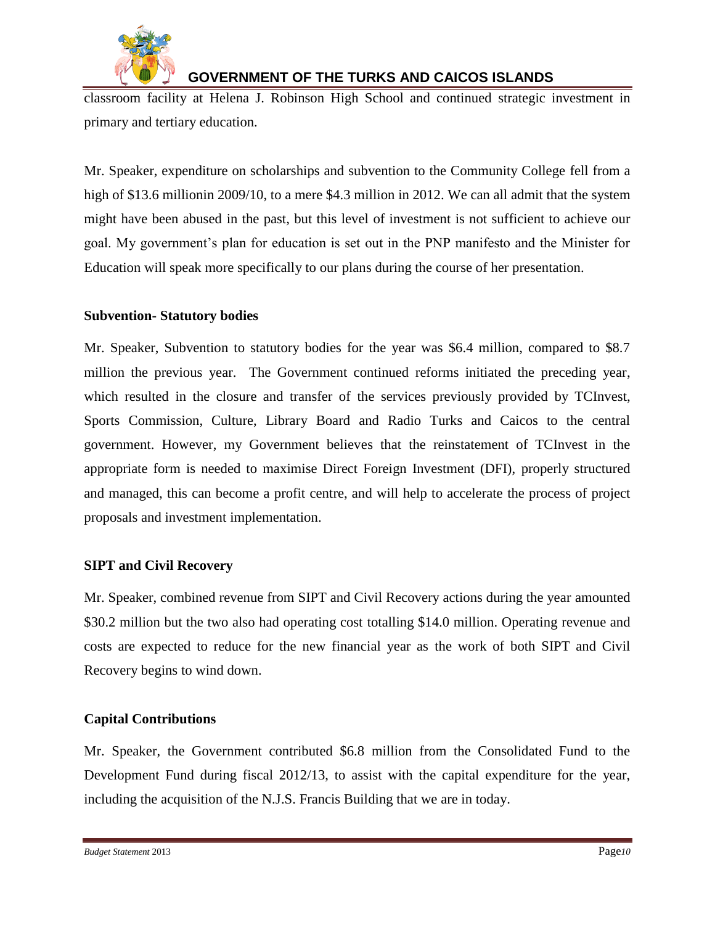

classroom facility at Helena J. Robinson High School and continued strategic investment in primary and tertiary education.

Mr. Speaker, expenditure on scholarships and subvention to the Community College fell from a high of \$13.6 millionin 2009/10, to a mere \$4.3 million in 2012. We can all admit that the system might have been abused in the past, but this level of investment is not sufficient to achieve our goal. My government's plan for education is set out in the PNP manifesto and the Minister for Education will speak more specifically to our plans during the course of her presentation.

### **Subvention- Statutory bodies**

Mr. Speaker, Subvention to statutory bodies for the year was \$6.4 million, compared to \$8.7 million the previous year. The Government continued reforms initiated the preceding year, which resulted in the closure and transfer of the services previously provided by TCInvest, Sports Commission, Culture, Library Board and Radio Turks and Caicos to the central government. However, my Government believes that the reinstatement of TCInvest in the appropriate form is needed to maximise Direct Foreign Investment (DFI), properly structured and managed, this can become a profit centre, and will help to accelerate the process of project proposals and investment implementation.

### **SIPT and Civil Recovery**

Mr. Speaker, combined revenue from SIPT and Civil Recovery actions during the year amounted \$30.2 million but the two also had operating cost totalling \$14.0 million. Operating revenue and costs are expected to reduce for the new financial year as the work of both SIPT and Civil Recovery begins to wind down.

### **Capital Contributions**

Mr. Speaker, the Government contributed \$6.8 million from the Consolidated Fund to the Development Fund during fiscal 2012/13, to assist with the capital expenditure for the year, including the acquisition of the N.J.S. Francis Building that we are in today.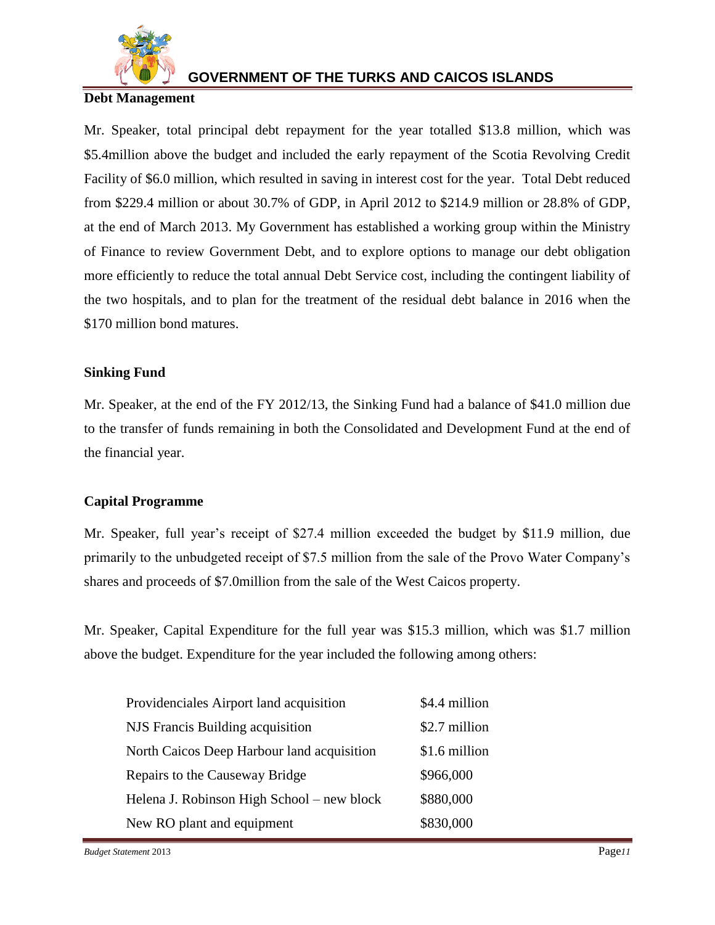

### **Debt Management**

Mr. Speaker, total principal debt repayment for the year totalled \$13.8 million, which was \$5.4million above the budget and included the early repayment of the Scotia Revolving Credit Facility of \$6.0 million, which resulted in saving in interest cost for the year. Total Debt reduced from \$229.4 million or about 30.7% of GDP, in April 2012 to \$214.9 million or 28.8% of GDP, at the end of March 2013. My Government has established a working group within the Ministry of Finance to review Government Debt, and to explore options to manage our debt obligation more efficiently to reduce the total annual Debt Service cost, including the contingent liability of the two hospitals, and to plan for the treatment of the residual debt balance in 2016 when the \$170 million bond matures.

### **Sinking Fund**

Mr. Speaker, at the end of the FY 2012/13, the Sinking Fund had a balance of \$41.0 million due to the transfer of funds remaining in both the Consolidated and Development Fund at the end of the financial year.

### **Capital Programme**

Mr. Speaker, full year's receipt of \$27.4 million exceeded the budget by \$11.9 million, due primarily to the unbudgeted receipt of \$7.5 million from the sale of the Provo Water Company's shares and proceeds of \$7.0million from the sale of the West Caicos property.

Mr. Speaker, Capital Expenditure for the full year was \$15.3 million, which was \$1.7 million above the budget. Expenditure for the year included the following among others:

| Providenciales Airport land acquisition    | \$4.4 million |
|--------------------------------------------|---------------|
| NJS Francis Building acquisition           | \$2.7 million |
| North Caicos Deep Harbour land acquisition | \$1.6 million |
| Repairs to the Causeway Bridge             | \$966,000     |
| Helena J. Robinson High School – new block | \$880,000     |
| New RO plant and equipment                 | \$830,000     |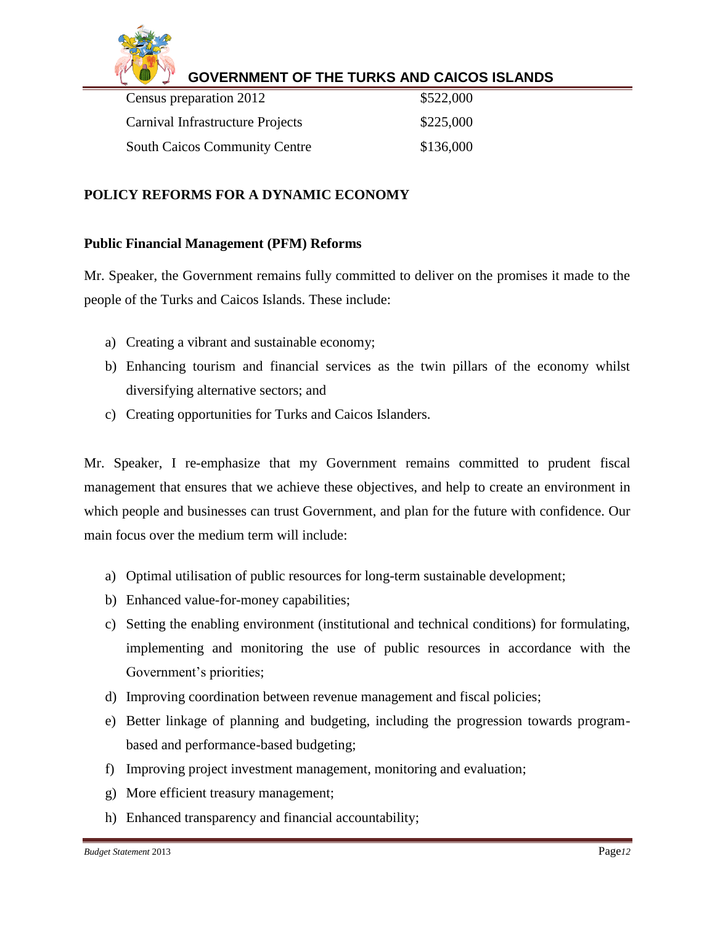

| Census preparation 2012              | \$522,000 |
|--------------------------------------|-----------|
| Carnival Infrastructure Projects     | \$225,000 |
| <b>South Caicos Community Centre</b> | \$136,000 |

### **POLICY REFORMS FOR A DYNAMIC ECONOMY**

#### **Public Financial Management (PFM) Reforms**

Mr. Speaker, the Government remains fully committed to deliver on the promises it made to the people of the Turks and Caicos Islands. These include:

- a) Creating a vibrant and sustainable economy;
- b) Enhancing tourism and financial services as the twin pillars of the economy whilst diversifying alternative sectors; and
- c) Creating opportunities for Turks and Caicos Islanders.

Mr. Speaker, I re-emphasize that my Government remains committed to prudent fiscal management that ensures that we achieve these objectives, and help to create an environment in which people and businesses can trust Government, and plan for the future with confidence. Our main focus over the medium term will include:

- a) Optimal utilisation of public resources for long-term sustainable development;
- b) Enhanced value-for-money capabilities;
- c) Setting the enabling environment (institutional and technical conditions) for formulating, implementing and monitoring the use of public resources in accordance with the Government's priorities;
- d) Improving coordination between revenue management and fiscal policies;
- e) Better linkage of planning and budgeting, including the progression towards programbased and performance-based budgeting;
- f) Improving project investment management, monitoring and evaluation;
- g) More efficient treasury management;
- h) Enhanced transparency and financial accountability;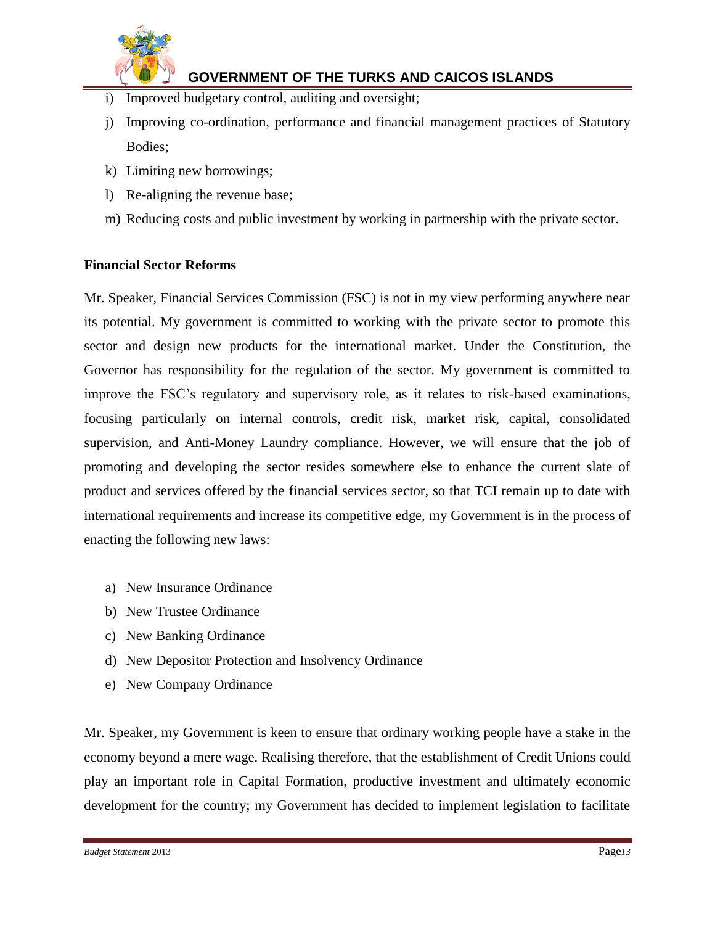

- i) Improved budgetary control, auditing and oversight;
- j) Improving co-ordination, performance and financial management practices of Statutory Bodies;
- k) Limiting new borrowings;
- l) Re-aligning the revenue base;
- m) Reducing costs and public investment by working in partnership with the private sector.

#### **Financial Sector Reforms**

Mr. Speaker, Financial Services Commission (FSC) is not in my view performing anywhere near its potential. My government is committed to working with the private sector to promote this sector and design new products for the international market. Under the Constitution, the Governor has responsibility for the regulation of the sector. My government is committed to improve the FSC's regulatory and supervisory role, as it relates to risk-based examinations, focusing particularly on internal controls, credit risk, market risk, capital, consolidated supervision, and Anti-Money Laundry compliance. However, we will ensure that the job of promoting and developing the sector resides somewhere else to enhance the current slate of product and services offered by the financial services sector, so that TCI remain up to date with international requirements and increase its competitive edge, my Government is in the process of enacting the following new laws:

- a) New Insurance Ordinance
- b) New Trustee Ordinance
- c) New Banking Ordinance
- d) New Depositor Protection and Insolvency Ordinance
- e) New Company Ordinance

Mr. Speaker, my Government is keen to ensure that ordinary working people have a stake in the economy beyond a mere wage. Realising therefore, that the establishment of Credit Unions could play an important role in Capital Formation, productive investment and ultimately economic development for the country; my Government has decided to implement legislation to facilitate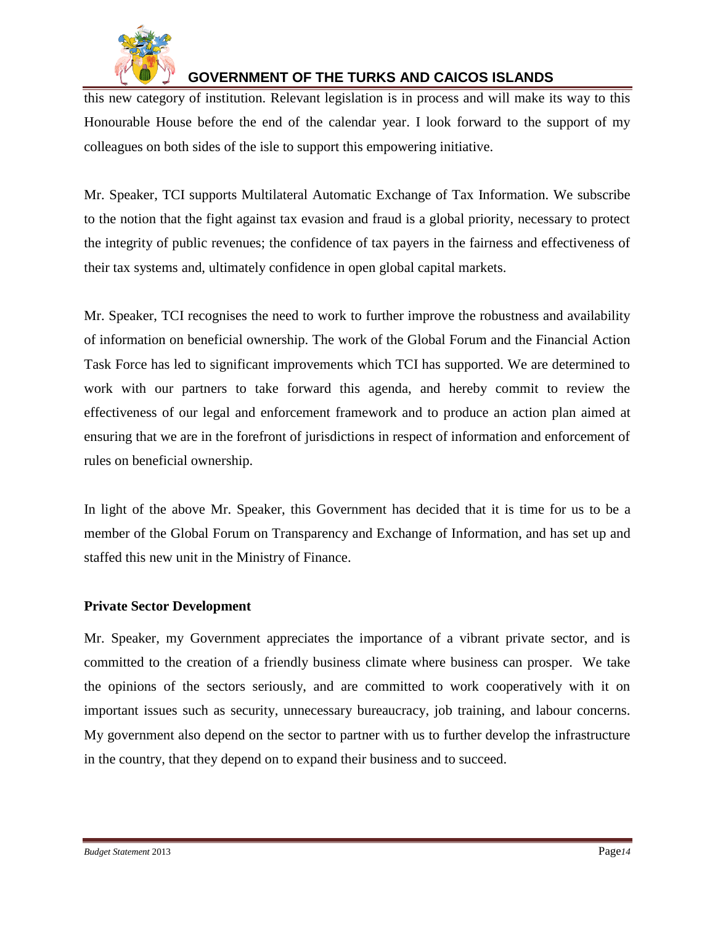

this new category of institution. Relevant legislation is in process and will make its way to this Honourable House before the end of the calendar year. I look forward to the support of my colleagues on both sides of the isle to support this empowering initiative.

Mr. Speaker, TCI supports Multilateral Automatic Exchange of Tax Information. We subscribe to the notion that the fight against tax evasion and fraud is a global priority, necessary to protect the integrity of public revenues; the confidence of tax payers in the fairness and effectiveness of their tax systems and, ultimately confidence in open global capital markets.

Mr. Speaker, TCI recognises the need to work to further improve the robustness and availability of information on beneficial ownership. The work of the Global Forum and the Financial Action Task Force has led to significant improvements which TCI has supported. We are determined to work with our partners to take forward this agenda, and hereby commit to review the effectiveness of our legal and enforcement framework and to produce an action plan aimed at ensuring that we are in the forefront of jurisdictions in respect of information and enforcement of rules on beneficial ownership.

In light of the above Mr. Speaker, this Government has decided that it is time for us to be a member of the Global Forum on Transparency and Exchange of Information, and has set up and staffed this new unit in the Ministry of Finance.

### **Private Sector Development**

Mr. Speaker, my Government appreciates the importance of a vibrant private sector, and is committed to the creation of a friendly business climate where business can prosper. We take the opinions of the sectors seriously, and are committed to work cooperatively with it on important issues such as security, unnecessary bureaucracy, job training, and labour concerns. My government also depend on the sector to partner with us to further develop the infrastructure in the country, that they depend on to expand their business and to succeed.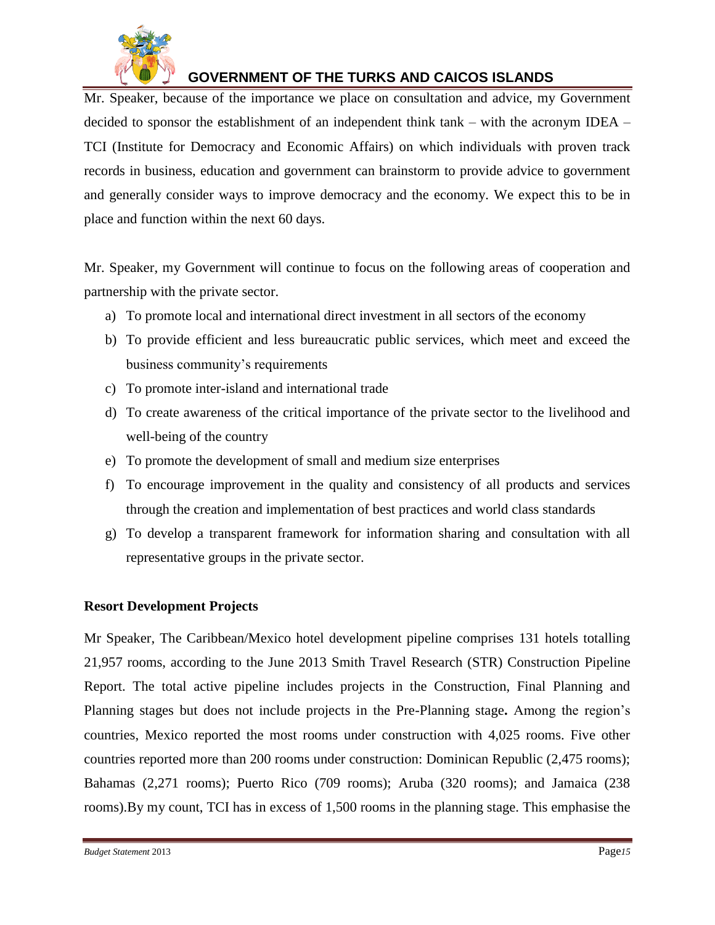

Mr. Speaker, because of the importance we place on consultation and advice, my Government decided to sponsor the establishment of an independent think tank – with the acronym IDEA – TCI (Institute for Democracy and Economic Affairs) on which individuals with proven track records in business, education and government can brainstorm to provide advice to government and generally consider ways to improve democracy and the economy. We expect this to be in place and function within the next 60 days.

Mr. Speaker, my Government will continue to focus on the following areas of cooperation and partnership with the private sector.

- a) To promote local and international direct investment in all sectors of the economy
- b) To provide efficient and less bureaucratic public services, which meet and exceed the business community's requirements
- c) To promote inter-island and international trade
- d) To create awareness of the critical importance of the private sector to the livelihood and well-being of the country
- e) To promote the development of small and medium size enterprises
- f) To encourage improvement in the quality and consistency of all products and services through the creation and implementation of best practices and world class standards
- g) To develop a transparent framework for information sharing and consultation with all representative groups in the private sector.

### **Resort Development Projects**

Mr Speaker, The Caribbean/Mexico hotel development pipeline comprises 131 hotels totalling 21,957 rooms, according to the June 2013 Smith Travel Research (STR) Construction Pipeline Report. The total active pipeline includes projects in the Construction, Final Planning and Planning stages but does not include projects in the Pre-Planning stage**.** Among the region's countries, Mexico reported the most rooms under construction with 4,025 rooms. Five other countries reported more than 200 rooms under construction: Dominican Republic (2,475 rooms); Bahamas (2,271 rooms); Puerto Rico (709 rooms); Aruba (320 rooms); and Jamaica (238 rooms).By my count, TCI has in excess of 1,500 rooms in the planning stage. This emphasise the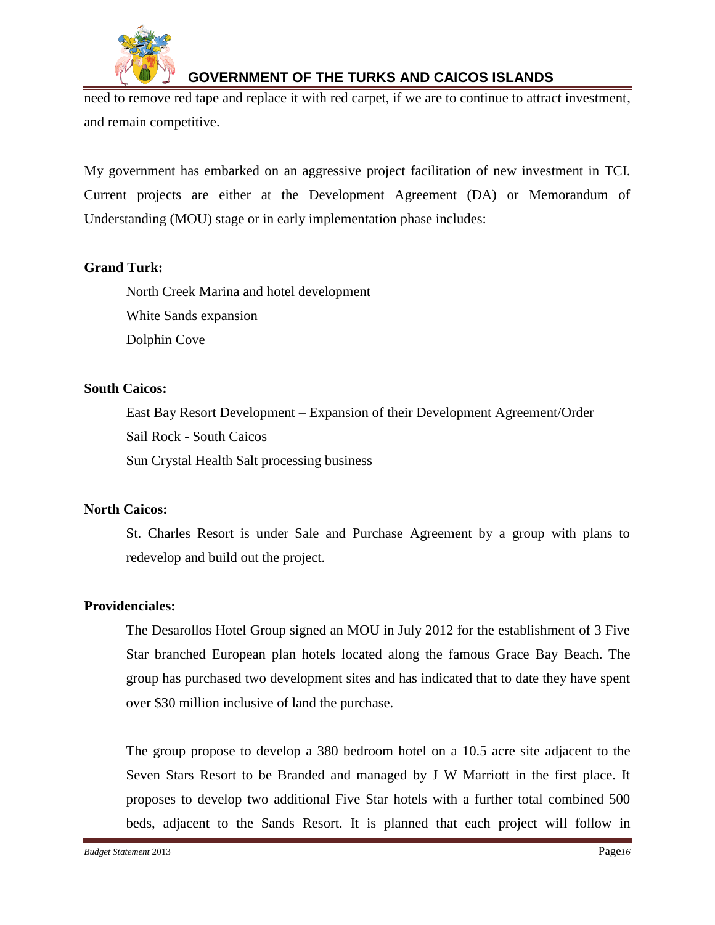

need to remove red tape and replace it with red carpet, if we are to continue to attract investment, and remain competitive.

My government has embarked on an aggressive project facilitation of new investment in TCI. Current projects are either at the Development Agreement (DA) or Memorandum of Understanding (MOU) stage or in early implementation phase includes:

### **Grand Turk:**

North Creek Marina and hotel development White Sands expansion Dolphin Cove

#### **South Caicos:**

East Bay Resort Development – Expansion of their Development Agreement/Order Sail Rock - South Caicos

Sun Crystal Health Salt processing business

#### **North Caicos:**

St. Charles Resort is under Sale and Purchase Agreement by a group with plans to redevelop and build out the project.

### **Providenciales:**

The Desarollos Hotel Group signed an MOU in July 2012 for the establishment of 3 Five Star branched European plan hotels located along the famous Grace Bay Beach. The group has purchased two development sites and has indicated that to date they have spent over \$30 million inclusive of land the purchase.

The group propose to develop a 380 bedroom hotel on a 10.5 acre site adjacent to the Seven Stars Resort to be Branded and managed by J W Marriott in the first place. It proposes to develop two additional Five Star hotels with a further total combined 500 beds, adjacent to the Sands Resort. It is planned that each project will follow in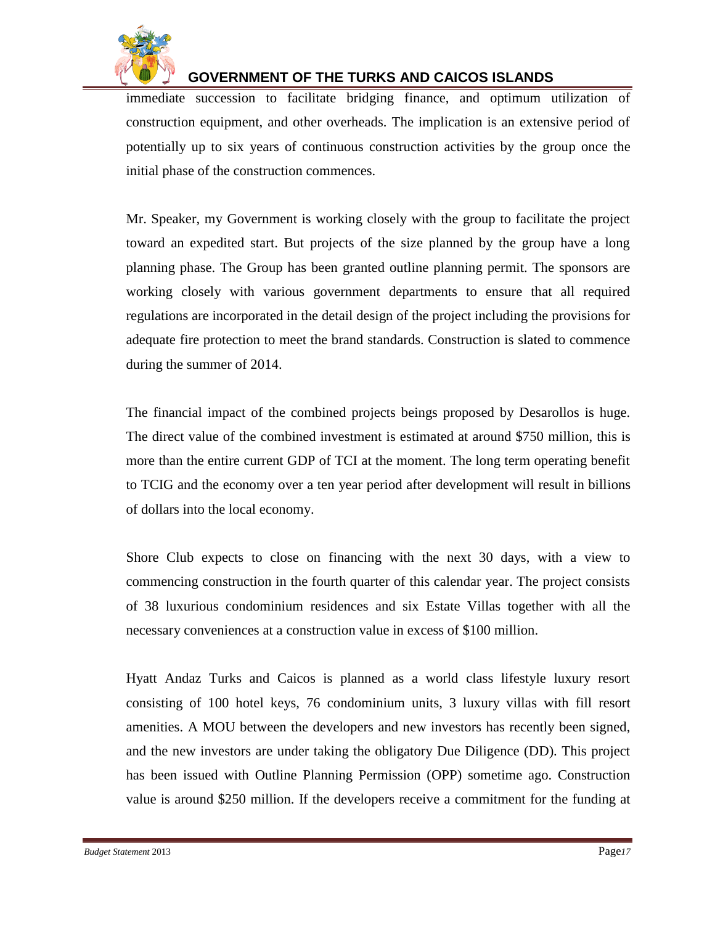

immediate succession to facilitate bridging finance, and optimum utilization of construction equipment, and other overheads. The implication is an extensive period of potentially up to six years of continuous construction activities by the group once the initial phase of the construction commences.

Mr. Speaker, my Government is working closely with the group to facilitate the project toward an expedited start. But projects of the size planned by the group have a long planning phase. The Group has been granted outline planning permit. The sponsors are working closely with various government departments to ensure that all required regulations are incorporated in the detail design of the project including the provisions for adequate fire protection to meet the brand standards. Construction is slated to commence during the summer of 2014.

The financial impact of the combined projects beings proposed by Desarollos is huge. The direct value of the combined investment is estimated at around \$750 million, this is more than the entire current GDP of TCI at the moment. The long term operating benefit to TCIG and the economy over a ten year period after development will result in billions of dollars into the local economy.

Shore Club expects to close on financing with the next 30 days, with a view to commencing construction in the fourth quarter of this calendar year. The project consists of 38 luxurious condominium residences and six Estate Villas together with all the necessary conveniences at a construction value in excess of \$100 million.

Hyatt Andaz Turks and Caicos is planned as a world class lifestyle luxury resort consisting of 100 hotel keys, 76 condominium units, 3 luxury villas with fill resort amenities. A MOU between the developers and new investors has recently been signed, and the new investors are under taking the obligatory Due Diligence (DD). This project has been issued with Outline Planning Permission (OPP) sometime ago. Construction value is around \$250 million. If the developers receive a commitment for the funding at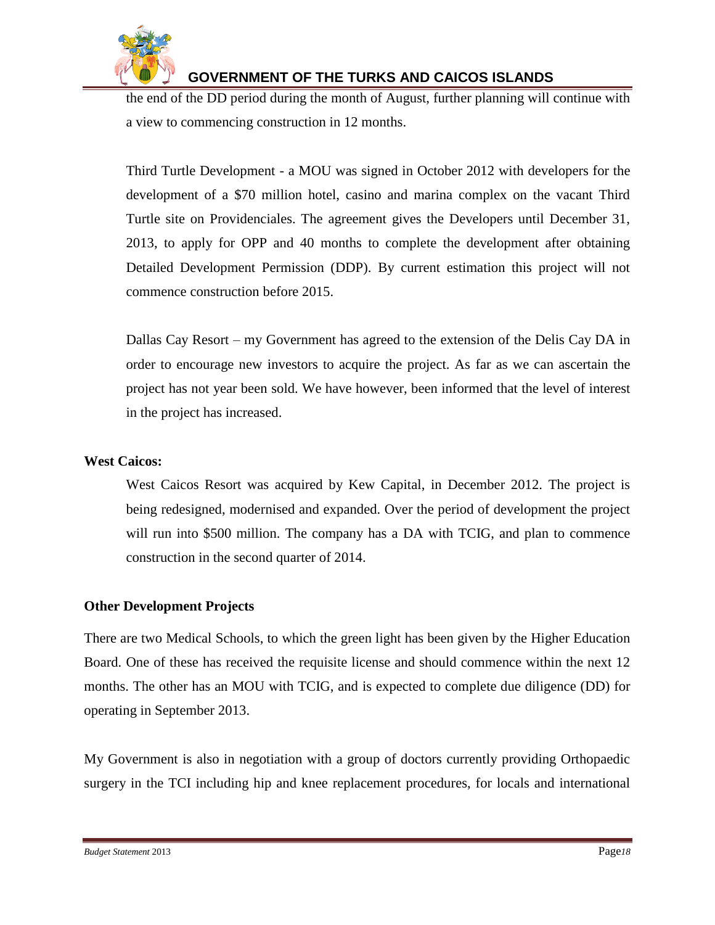

the end of the DD period during the month of August, further planning will continue with a view to commencing construction in 12 months.

Third Turtle Development - a MOU was signed in October 2012 with developers for the development of a \$70 million hotel, casino and marina complex on the vacant Third Turtle site on Providenciales. The agreement gives the Developers until December 31, 2013, to apply for OPP and 40 months to complete the development after obtaining Detailed Development Permission (DDP). By current estimation this project will not commence construction before 2015.

Dallas Cay Resort – my Government has agreed to the extension of the Delis Cay DA in order to encourage new investors to acquire the project. As far as we can ascertain the project has not year been sold. We have however, been informed that the level of interest in the project has increased.

### **West Caicos:**

West Caicos Resort was acquired by Kew Capital, in December 2012. The project is being redesigned, modernised and expanded. Over the period of development the project will run into \$500 million. The company has a DA with TCIG, and plan to commence construction in the second quarter of 2014.

### **Other Development Projects**

There are two Medical Schools, to which the green light has been given by the Higher Education Board. One of these has received the requisite license and should commence within the next 12 months. The other has an MOU with TCIG, and is expected to complete due diligence (DD) for operating in September 2013.

My Government is also in negotiation with a group of doctors currently providing Orthopaedic surgery in the TCI including hip and knee replacement procedures, for locals and international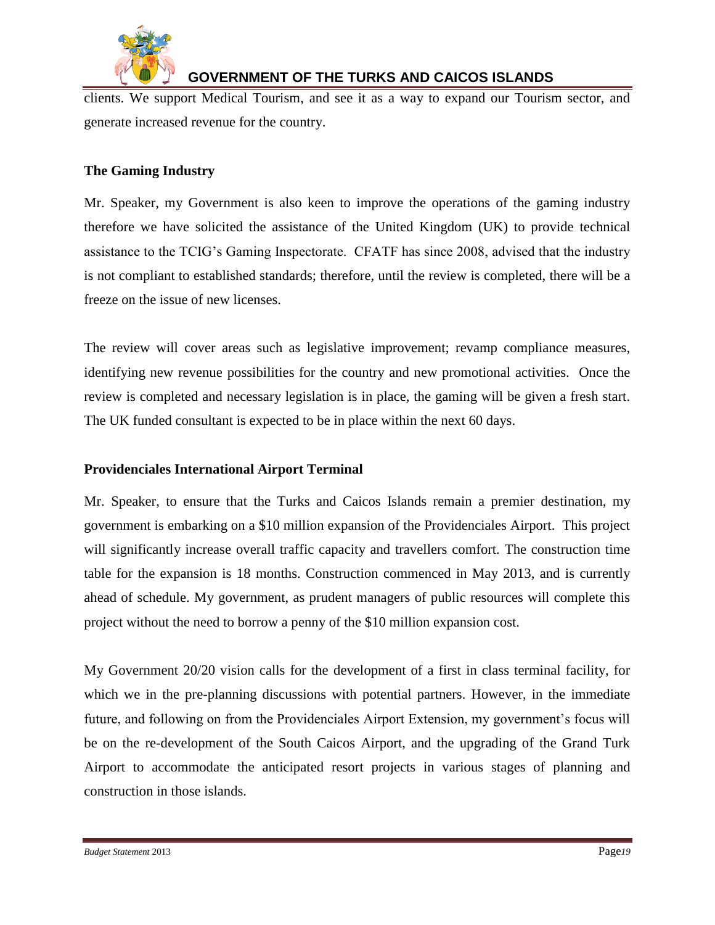

clients. We support Medical Tourism, and see it as a way to expand our Tourism sector, and generate increased revenue for the country.

### **The Gaming Industry**

Mr. Speaker, my Government is also keen to improve the operations of the gaming industry therefore we have solicited the assistance of the United Kingdom (UK) to provide technical assistance to the TCIG's Gaming Inspectorate. CFATF has since 2008, advised that the industry is not compliant to established standards; therefore, until the review is completed, there will be a freeze on the issue of new licenses.

The review will cover areas such as legislative improvement; revamp compliance measures, identifying new revenue possibilities for the country and new promotional activities. Once the review is completed and necessary legislation is in place, the gaming will be given a fresh start. The UK funded consultant is expected to be in place within the next 60 days.

#### **Providenciales International Airport Terminal**

Mr. Speaker, to ensure that the Turks and Caicos Islands remain a premier destination, my government is embarking on a \$10 million expansion of the Providenciales Airport. This project will significantly increase overall traffic capacity and travellers comfort. The construction time table for the expansion is 18 months. Construction commenced in May 2013, and is currently ahead of schedule. My government, as prudent managers of public resources will complete this project without the need to borrow a penny of the \$10 million expansion cost.

My Government 20/20 vision calls for the development of a first in class terminal facility, for which we in the pre-planning discussions with potential partners. However, in the immediate future, and following on from the Providenciales Airport Extension, my government's focus will be on the re-development of the South Caicos Airport, and the upgrading of the Grand Turk Airport to accommodate the anticipated resort projects in various stages of planning and construction in those islands.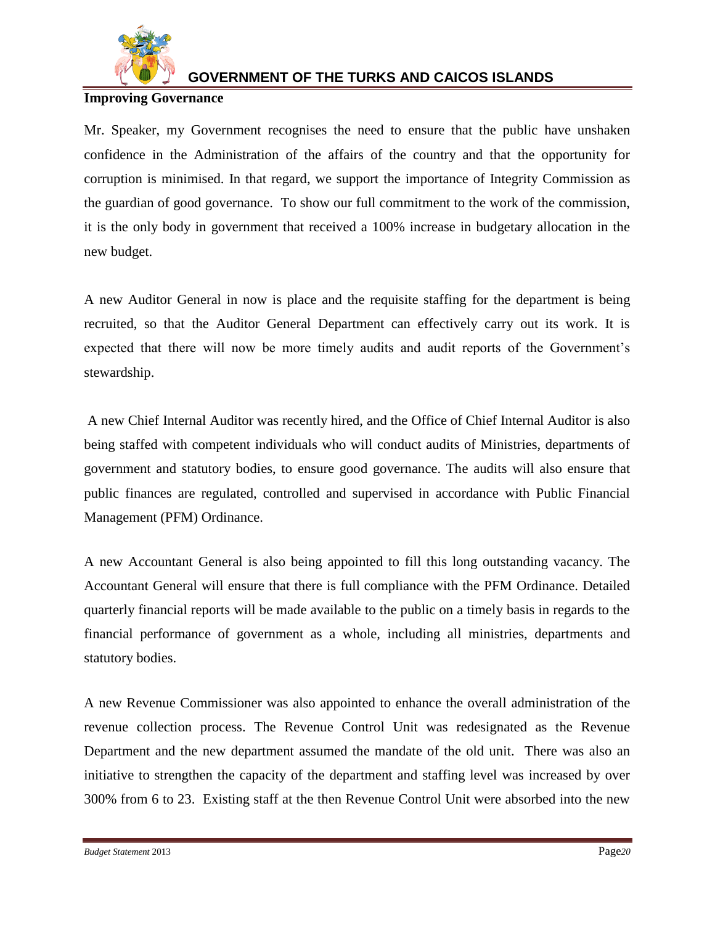

### **Improving Governance**

Mr. Speaker, my Government recognises the need to ensure that the public have unshaken confidence in the Administration of the affairs of the country and that the opportunity for corruption is minimised. In that regard, we support the importance of Integrity Commission as the guardian of good governance. To show our full commitment to the work of the commission, it is the only body in government that received a 100% increase in budgetary allocation in the new budget.

A new Auditor General in now is place and the requisite staffing for the department is being recruited, so that the Auditor General Department can effectively carry out its work. It is expected that there will now be more timely audits and audit reports of the Government's stewardship.

A new Chief Internal Auditor was recently hired, and the Office of Chief Internal Auditor is also being staffed with competent individuals who will conduct audits of Ministries, departments of government and statutory bodies, to ensure good governance. The audits will also ensure that public finances are regulated, controlled and supervised in accordance with Public Financial Management (PFM) Ordinance.

A new Accountant General is also being appointed to fill this long outstanding vacancy. The Accountant General will ensure that there is full compliance with the PFM Ordinance. Detailed quarterly financial reports will be made available to the public on a timely basis in regards to the financial performance of government as a whole, including all ministries, departments and statutory bodies.

A new Revenue Commissioner was also appointed to enhance the overall administration of the revenue collection process. The Revenue Control Unit was redesignated as the Revenue Department and the new department assumed the mandate of the old unit. There was also an initiative to strengthen the capacity of the department and staffing level was increased by over 300% from 6 to 23. Existing staff at the then Revenue Control Unit were absorbed into the new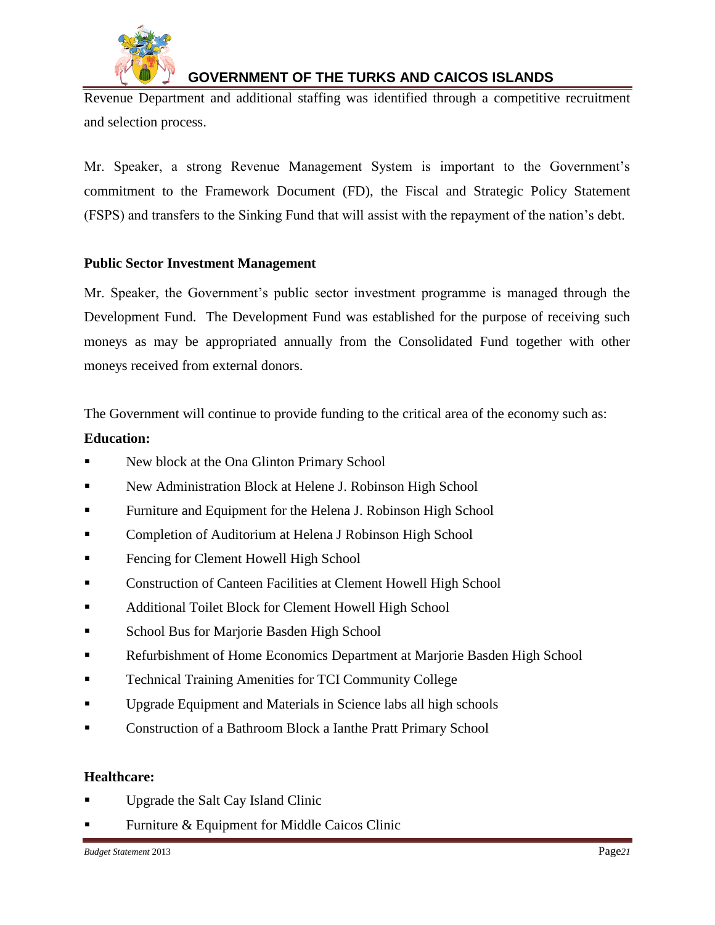

Revenue Department and additional staffing was identified through a competitive recruitment and selection process.

Mr. Speaker, a strong Revenue Management System is important to the Government's commitment to the Framework Document (FD), the Fiscal and Strategic Policy Statement (FSPS) and transfers to the Sinking Fund that will assist with the repayment of the nation's debt.

### **Public Sector Investment Management**

Mr. Speaker, the Government's public sector investment programme is managed through the Development Fund. The Development Fund was established for the purpose of receiving such moneys as may be appropriated annually from the Consolidated Fund together with other moneys received from external donors.

The Government will continue to provide funding to the critical area of the economy such as:

### **Education:**

- New block at the Ona Glinton Primary School
- New Administration Block at Helene J. Robinson High School
- Furniture and Equipment for the Helena J. Robinson High School
- Completion of Auditorium at Helena J Robinson High School
- Fencing for Clement Howell High School
- Construction of Canteen Facilities at Clement Howell High School
- **Additional Toilet Block for Clement Howell High School**
- School Bus for Marjorie Basden High School
- Refurbishment of Home Economics Department at Marjorie Basden High School
- Technical Training Amenities for TCI Community College
- Upgrade Equipment and Materials in Science labs all high schools
- Construction of a Bathroom Block a Ianthe Pratt Primary School

### **Healthcare:**

- Upgrade the Salt Cay Island Clinic
- Furniture & Equipment for Middle Caicos Clinic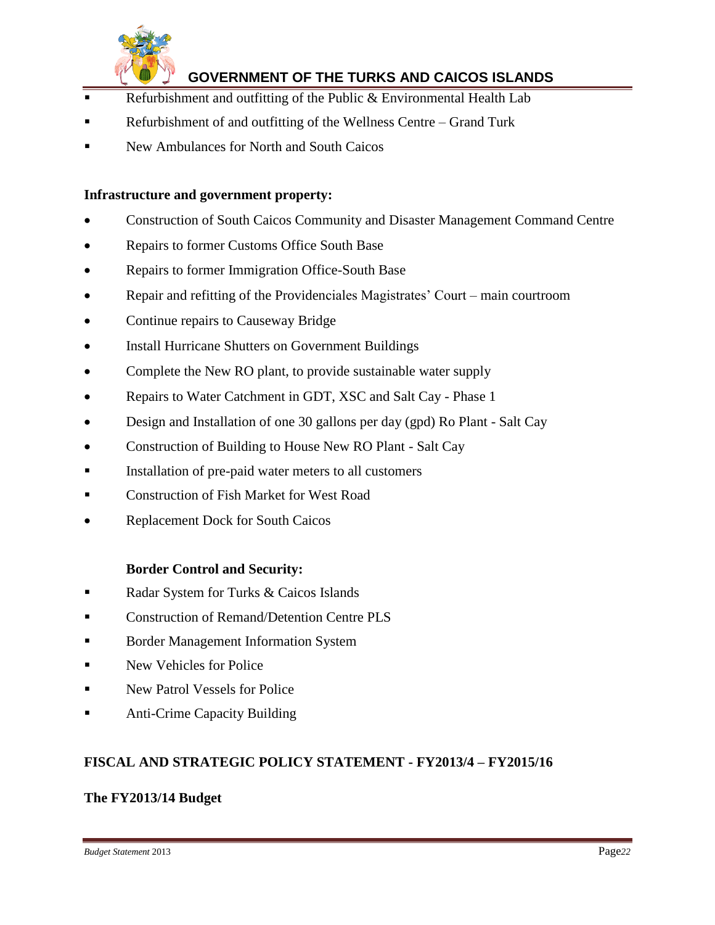

- Refurbishment and outfitting of the Public & Environmental Health Lab
- Refurbishment of and outfitting of the Wellness Centre Grand Turk
- New Ambulances for North and South Caicos

#### **Infrastructure and government property:**

- Construction of South Caicos Community and Disaster Management Command Centre
- Repairs to former Customs Office South Base
- Repairs to former Immigration Office-South Base
- Repair and refitting of the Providenciales Magistrates' Court main courtroom
- Continue repairs to Causeway Bridge
- Install Hurricane Shutters on Government Buildings
- Complete the New RO plant, to provide sustainable water supply
- Repairs to Water Catchment in GDT, XSC and Salt Cay Phase 1
- Design and Installation of one 30 gallons per day (gpd) Ro Plant Salt Cay
- Construction of Building to House New RO Plant Salt Cay
- Installation of pre-paid water meters to all customers
- **Example 3** Construction of Fish Market for West Road
- Replacement Dock for South Caicos

#### **Border Control and Security:**

- Radar System for Turks & Caicos Islands
- Construction of Remand/Detention Centre PLS
- **Border Management Information System**
- New Vehicles for Police
- New Patrol Vessels for Police
- Anti-Crime Capacity Building

#### **FISCAL AND STRATEGIC POLICY STATEMENT - FY2013/4 – FY2015/16**

#### **The FY2013/14 Budget**

*Budget Statement* 2013 Page*22*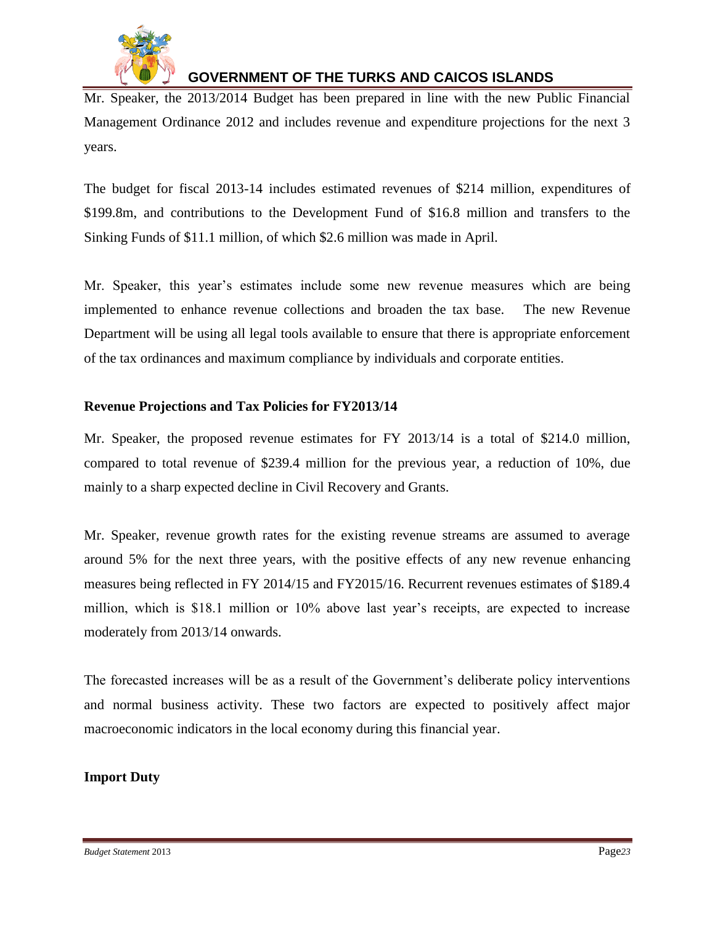

Mr. Speaker, the 2013/2014 Budget has been prepared in line with the new Public Financial Management Ordinance 2012 and includes revenue and expenditure projections for the next 3 years.

The budget for fiscal 2013-14 includes estimated revenues of \$214 million, expenditures of \$199.8m, and contributions to the Development Fund of \$16.8 million and transfers to the Sinking Funds of \$11.1 million, of which \$2.6 million was made in April.

Mr. Speaker, this year's estimates include some new revenue measures which are being implemented to enhance revenue collections and broaden the tax base. The new Revenue Department will be using all legal tools available to ensure that there is appropriate enforcement of the tax ordinances and maximum compliance by individuals and corporate entities.

### **Revenue Projections and Tax Policies for FY2013/14**

Mr. Speaker, the proposed revenue estimates for FY 2013/14 is a total of \$214.0 million, compared to total revenue of \$239.4 million for the previous year, a reduction of 10%, due mainly to a sharp expected decline in Civil Recovery and Grants.

Mr. Speaker, revenue growth rates for the existing revenue streams are assumed to average around 5% for the next three years, with the positive effects of any new revenue enhancing measures being reflected in FY 2014/15 and FY2015/16. Recurrent revenues estimates of \$189.4 million, which is \$18.1 million or 10% above last year's receipts, are expected to increase moderately from 2013/14 onwards.

The forecasted increases will be as a result of the Government's deliberate policy interventions and normal business activity. These two factors are expected to positively affect major macroeconomic indicators in the local economy during this financial year.

### **Import Duty**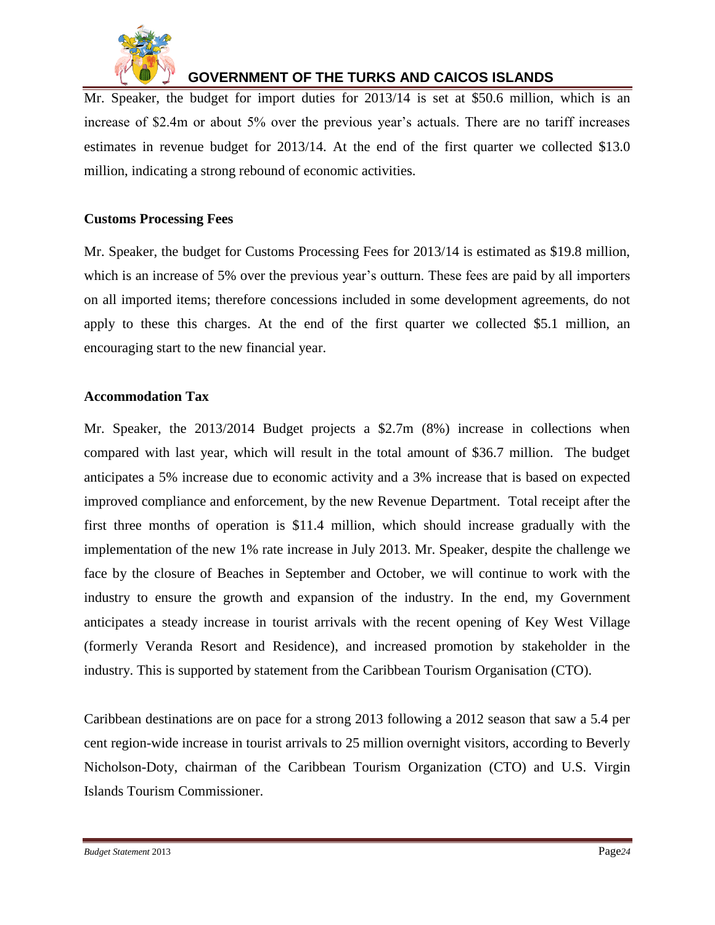

Mr. Speaker, the budget for import duties for 2013/14 is set at \$50.6 million, which is an increase of \$2.4m or about 5% over the previous year's actuals. There are no tariff increases estimates in revenue budget for 2013/14. At the end of the first quarter we collected \$13.0 million, indicating a strong rebound of economic activities.

### **Customs Processing Fees**

Mr. Speaker, the budget for Customs Processing Fees for 2013/14 is estimated as \$19.8 million, which is an increase of 5% over the previous year's outturn. These fees are paid by all importers on all imported items; therefore concessions included in some development agreements, do not apply to these this charges. At the end of the first quarter we collected \$5.1 million, an encouraging start to the new financial year.

#### **Accommodation Tax**

Mr. Speaker, the 2013/2014 Budget projects a \$2.7m (8%) increase in collections when compared with last year, which will result in the total amount of \$36.7 million. The budget anticipates a 5% increase due to economic activity and a 3% increase that is based on expected improved compliance and enforcement, by the new Revenue Department. Total receipt after the first three months of operation is \$11.4 million, which should increase gradually with the implementation of the new 1% rate increase in July 2013. Mr. Speaker, despite the challenge we face by the closure of Beaches in September and October, we will continue to work with the industry to ensure the growth and expansion of the industry. In the end, my Government anticipates a steady increase in tourist arrivals with the recent opening of Key West Village (formerly Veranda Resort and Residence), and increased promotion by stakeholder in the industry. This is supported by statement from the Caribbean Tourism Organisation (CTO).

Caribbean destinations are on pace for a strong 2013 following a 2012 season that saw a 5.4 per cent region-wide increase in tourist arrivals to 25 million overnight visitors, according to Beverly Nicholson-Doty, chairman of the Caribbean Tourism Organization (CTO) and U.S. Virgin Islands Tourism Commissioner.

*Budget Statement* 2013 Page*24*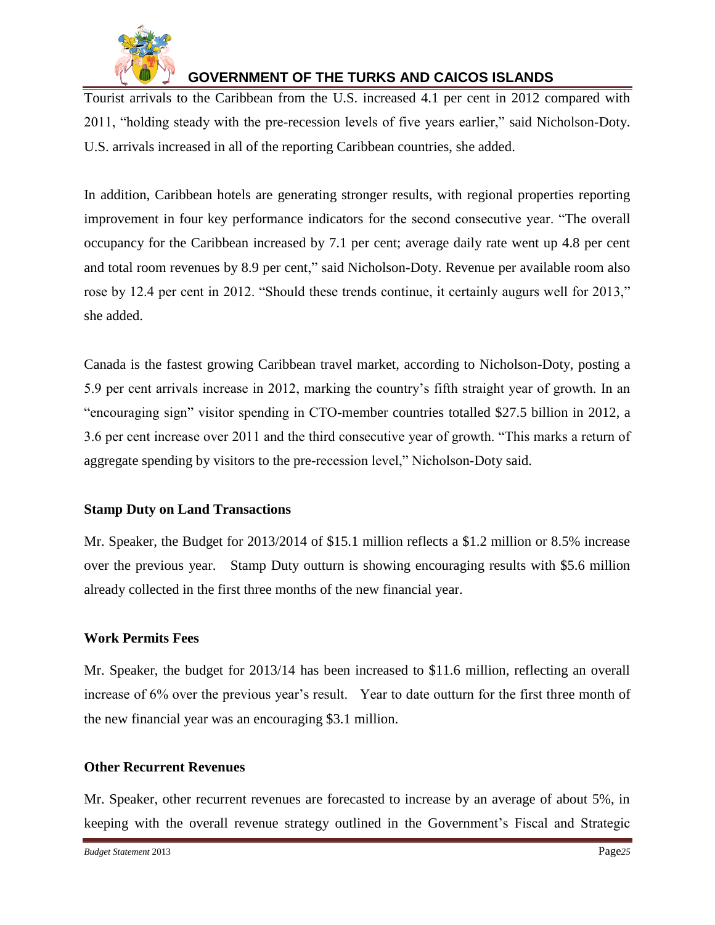

Tourist arrivals to the Caribbean from the U.S. increased 4.1 per cent in 2012 compared with 2011, "holding steady with the pre-recession levels of five years earlier," said Nicholson-Doty. U.S. arrivals increased in all of the reporting Caribbean countries, she added.

In addition, Caribbean hotels are generating stronger results, with regional properties reporting improvement in four key performance indicators for the second consecutive year. "The overall occupancy for the Caribbean increased by 7.1 per cent; average daily rate went up 4.8 per cent and total room revenues by 8.9 per cent," said Nicholson-Doty. Revenue per available room also rose by 12.4 per cent in 2012. "Should these trends continue, it certainly augurs well for 2013," she added.

Canada is the fastest growing Caribbean travel market, according to Nicholson-Doty, posting a 5.9 per cent arrivals increase in 2012, marking the country's fifth straight year of growth. In an "encouraging sign" visitor spending in CTO-member countries totalled \$27.5 billion in 2012, a 3.6 per cent increase over 2011 and the third consecutive year of growth. "This marks a return of aggregate spending by visitors to the pre-recession level," Nicholson-Doty said.

#### **Stamp Duty on Land Transactions**

Mr. Speaker, the Budget for 2013/2014 of \$15.1 million reflects a \$1.2 million or 8.5% increase over the previous year. Stamp Duty outturn is showing encouraging results with \$5.6 million already collected in the first three months of the new financial year.

### **Work Permits Fees**

Mr. Speaker, the budget for 2013/14 has been increased to \$11.6 million, reflecting an overall increase of 6% over the previous year's result. Year to date outturn for the first three month of the new financial year was an encouraging \$3.1 million.

#### **Other Recurrent Revenues**

Mr. Speaker, other recurrent revenues are forecasted to increase by an average of about 5%, in keeping with the overall revenue strategy outlined in the Government's Fiscal and Strategic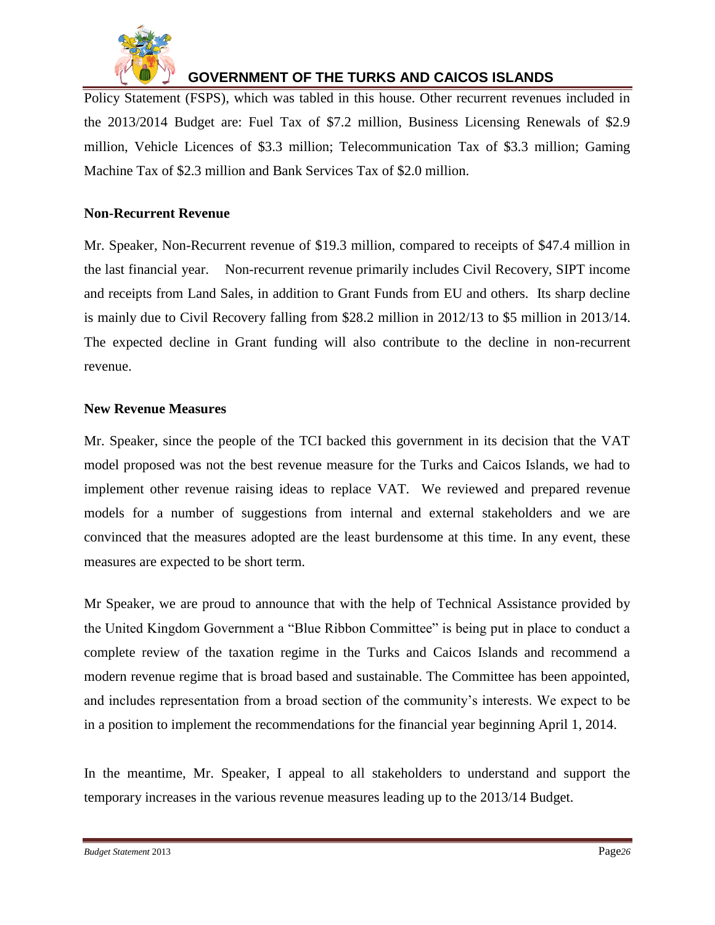

Policy Statement (FSPS), which was tabled in this house. Other recurrent revenues included in the 2013/2014 Budget are: Fuel Tax of \$7.2 million, Business Licensing Renewals of \$2.9 million, Vehicle Licences of \$3.3 million; Telecommunication Tax of \$3.3 million; Gaming Machine Tax of \$2.3 million and Bank Services Tax of \$2.0 million.

### **Non-Recurrent Revenue**

Mr. Speaker, Non-Recurrent revenue of \$19.3 million, compared to receipts of \$47.4 million in the last financial year. Non-recurrent revenue primarily includes Civil Recovery, SIPT income and receipts from Land Sales, in addition to Grant Funds from EU and others. Its sharp decline is mainly due to Civil Recovery falling from \$28.2 million in 2012/13 to \$5 million in 2013/14. The expected decline in Grant funding will also contribute to the decline in non-recurrent revenue.

#### **New Revenue Measures**

Mr. Speaker, since the people of the TCI backed this government in its decision that the VAT model proposed was not the best revenue measure for the Turks and Caicos Islands, we had to implement other revenue raising ideas to replace VAT. We reviewed and prepared revenue models for a number of suggestions from internal and external stakeholders and we are convinced that the measures adopted are the least burdensome at this time. In any event, these measures are expected to be short term.

Mr Speaker, we are proud to announce that with the help of Technical Assistance provided by the United Kingdom Government a "Blue Ribbon Committee" is being put in place to conduct a complete review of the taxation regime in the Turks and Caicos Islands and recommend a modern revenue regime that is broad based and sustainable. The Committee has been appointed, and includes representation from a broad section of the community's interests. We expect to be in a position to implement the recommendations for the financial year beginning April 1, 2014.

In the meantime, Mr. Speaker, I appeal to all stakeholders to understand and support the temporary increases in the various revenue measures leading up to the 2013/14 Budget.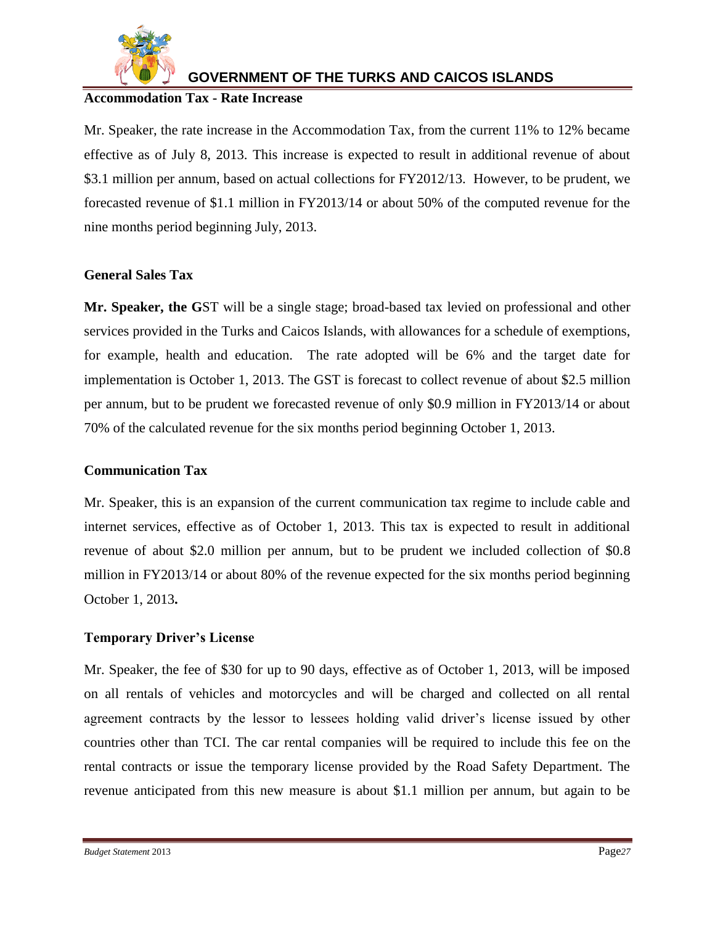

#### **Accommodation Tax - Rate Increase**

Mr. Speaker, the rate increase in the Accommodation Tax, from the current 11% to 12% became effective as of July 8, 2013. This increase is expected to result in additional revenue of about \$3.1 million per annum, based on actual collections for FY2012/13. However, to be prudent, we forecasted revenue of \$1.1 million in FY2013/14 or about 50% of the computed revenue for the nine months period beginning July, 2013.

#### **General Sales Tax**

**Mr. Speaker, the G**ST will be a single stage; broad-based tax levied on professional and other services provided in the Turks and Caicos Islands, with allowances for a schedule of exemptions, for example, health and education. The rate adopted will be 6% and the target date for implementation is October 1, 2013. The GST is forecast to collect revenue of about \$2.5 million per annum, but to be prudent we forecasted revenue of only \$0.9 million in FY2013/14 or about 70% of the calculated revenue for the six months period beginning October 1, 2013.

### **Communication Tax**

Mr. Speaker, this is an expansion of the current communication tax regime to include cable and internet services, effective as of October 1, 2013. This tax is expected to result in additional revenue of about \$2.0 million per annum, but to be prudent we included collection of \$0.8 million in FY2013/14 or about 80% of the revenue expected for the six months period beginning October 1, 2013**.**

### **Temporary Driver's License**

Mr. Speaker, the fee of \$30 for up to 90 days, effective as of October 1, 2013, will be imposed on all rentals of vehicles and motorcycles and will be charged and collected on all rental agreement contracts by the lessor to lessees holding valid driver's license issued by other countries other than TCI. The car rental companies will be required to include this fee on the rental contracts or issue the temporary license provided by the Road Safety Department. The revenue anticipated from this new measure is about \$1.1 million per annum, but again to be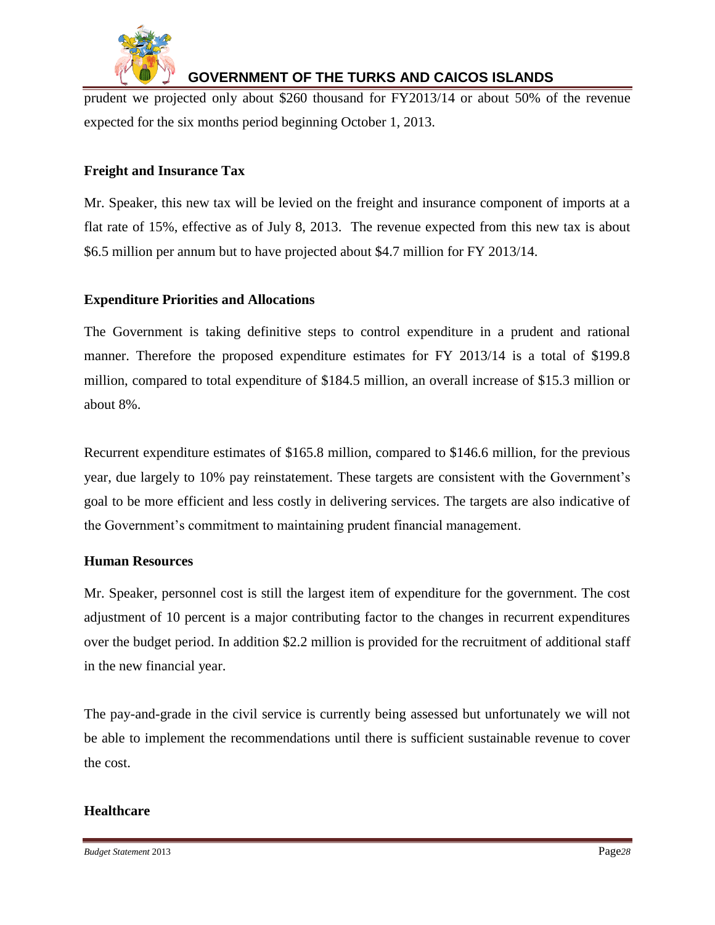

prudent we projected only about \$260 thousand for FY2013/14 or about 50% of the revenue expected for the six months period beginning October 1, 2013.

### **Freight and Insurance Tax**

Mr. Speaker, this new tax will be levied on the freight and insurance component of imports at a flat rate of 15%, effective as of July 8, 2013. The revenue expected from this new tax is about \$6.5 million per annum but to have projected about \$4.7 million for FY 2013/14.

### **Expenditure Priorities and Allocations**

The Government is taking definitive steps to control expenditure in a prudent and rational manner. Therefore the proposed expenditure estimates for FY 2013/14 is a total of \$199.8 million, compared to total expenditure of \$184.5 million, an overall increase of \$15.3 million or about 8%.

Recurrent expenditure estimates of \$165.8 million, compared to \$146.6 million, for the previous year, due largely to 10% pay reinstatement. These targets are consistent with the Government's goal to be more efficient and less costly in delivering services. The targets are also indicative of the Government's commitment to maintaining prudent financial management.

#### **Human Resources**

Mr. Speaker, personnel cost is still the largest item of expenditure for the government. The cost adjustment of 10 percent is a major contributing factor to the changes in recurrent expenditures over the budget period. In addition \$2.2 million is provided for the recruitment of additional staff in the new financial year.

The pay-and-grade in the civil service is currently being assessed but unfortunately we will not be able to implement the recommendations until there is sufficient sustainable revenue to cover the cost.

#### **Healthcare**

*Budget Statement* 2013 Page*28*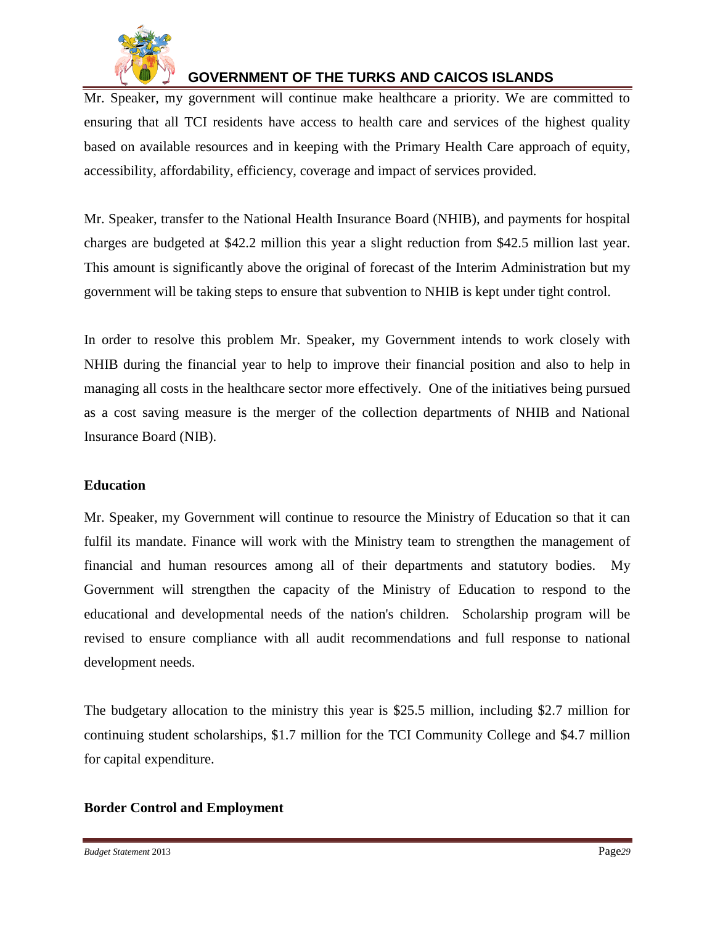

Mr. Speaker, my government will continue make healthcare a priority. We are committed to ensuring that all TCI residents have access to health care and services of the highest quality based on available resources and in keeping with the Primary Health Care approach of equity, accessibility, affordability, efficiency, coverage and impact of services provided.

Mr. Speaker, transfer to the National Health Insurance Board (NHIB), and payments for hospital charges are budgeted at \$42.2 million this year a slight reduction from \$42.5 million last year. This amount is significantly above the original of forecast of the Interim Administration but my government will be taking steps to ensure that subvention to NHIB is kept under tight control.

In order to resolve this problem Mr. Speaker, my Government intends to work closely with NHIB during the financial year to help to improve their financial position and also to help in managing all costs in the healthcare sector more effectively. One of the initiatives being pursued as a cost saving measure is the merger of the collection departments of NHIB and National Insurance Board (NIB).

#### **Education**

Mr. Speaker, my Government will continue to resource the Ministry of Education so that it can fulfil its mandate. Finance will work with the Ministry team to strengthen the management of financial and human resources among all of their departments and statutory bodies. My Government will strengthen the capacity of the Ministry of Education to respond to the educational and developmental needs of the nation's children. Scholarship program will be revised to ensure compliance with all audit recommendations and full response to national development needs.

The budgetary allocation to the ministry this year is \$25.5 million, including \$2.7 million for continuing student scholarships, \$1.7 million for the TCI Community College and \$4.7 million for capital expenditure.

#### **Border Control and Employment**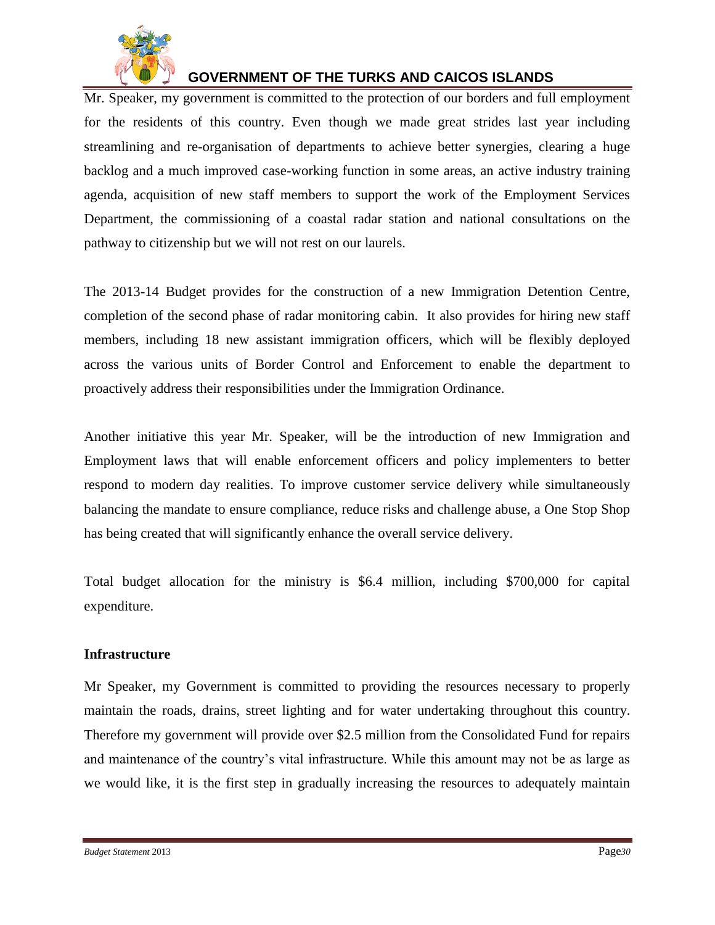

Mr. Speaker, my government is committed to the protection of our borders and full employment for the residents of this country. Even though we made great strides last year including streamlining and re-organisation of departments to achieve better synergies, clearing a huge backlog and a much improved case-working function in some areas, an active industry training agenda, acquisition of new staff members to support the work of the Employment Services Department, the commissioning of a coastal radar station and national consultations on the pathway to citizenship but we will not rest on our laurels.

The 2013-14 Budget provides for the construction of a new Immigration Detention Centre, completion of the second phase of radar monitoring cabin. It also provides for hiring new staff members, including 18 new assistant immigration officers, which will be flexibly deployed across the various units of Border Control and Enforcement to enable the department to proactively address their responsibilities under the Immigration Ordinance.

Another initiative this year Mr. Speaker, will be the introduction of new Immigration and Employment laws that will enable enforcement officers and policy implementers to better respond to modern day realities. To improve customer service delivery while simultaneously balancing the mandate to ensure compliance, reduce risks and challenge abuse, a One Stop Shop has being created that will significantly enhance the overall service delivery.

Total budget allocation for the ministry is \$6.4 million, including \$700,000 for capital expenditure.

#### **Infrastructure**

Mr Speaker, my Government is committed to providing the resources necessary to properly maintain the roads, drains, street lighting and for water undertaking throughout this country. Therefore my government will provide over \$2.5 million from the Consolidated Fund for repairs and maintenance of the country's vital infrastructure. While this amount may not be as large as we would like, it is the first step in gradually increasing the resources to adequately maintain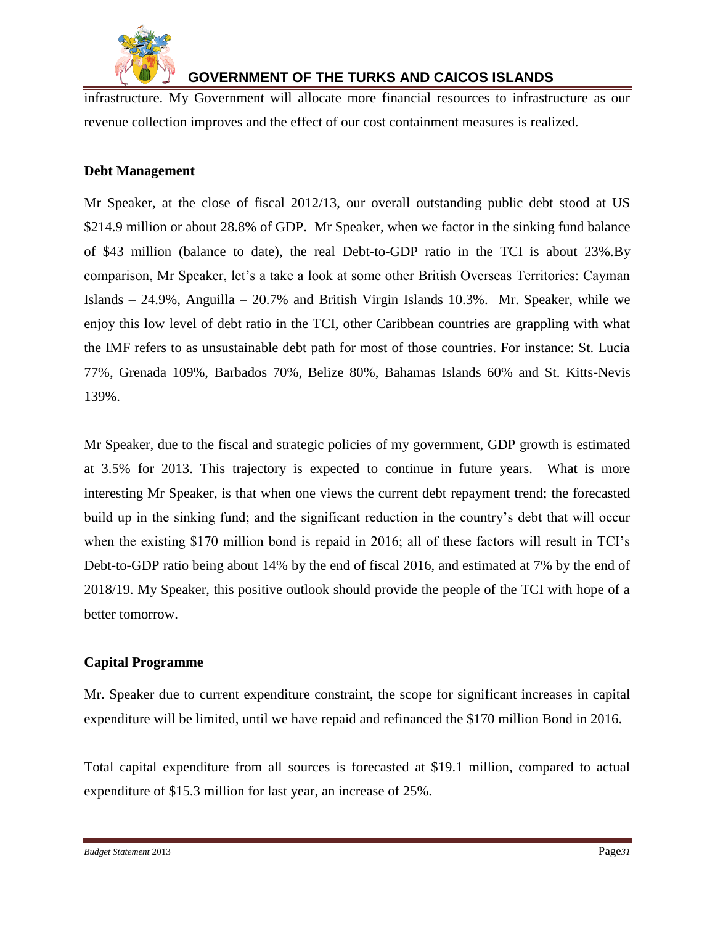

infrastructure. My Government will allocate more financial resources to infrastructure as our revenue collection improves and the effect of our cost containment measures is realized.

### **Debt Management**

Mr Speaker, at the close of fiscal 2012/13, our overall outstanding public debt stood at US \$214.9 million or about 28.8% of GDP. Mr Speaker, when we factor in the sinking fund balance of \$43 million (balance to date), the real Debt-to-GDP ratio in the TCI is about 23%.By comparison, Mr Speaker, let's a take a look at some other British Overseas Territories: Cayman Islands – 24.9%, Anguilla – 20.7% and British Virgin Islands 10.3%. Mr. Speaker, while we enjoy this low level of debt ratio in the TCI, other Caribbean countries are grappling with what the IMF refers to as unsustainable debt path for most of those countries. For instance: St. Lucia 77%, Grenada 109%, Barbados 70%, Belize 80%, Bahamas Islands 60% and St. Kitts-Nevis 139%.

Mr Speaker, due to the fiscal and strategic policies of my government, GDP growth is estimated at 3.5% for 2013. This trajectory is expected to continue in future years. What is more interesting Mr Speaker, is that when one views the current debt repayment trend; the forecasted build up in the sinking fund; and the significant reduction in the country's debt that will occur when the existing \$170 million bond is repaid in 2016; all of these factors will result in TCI's Debt-to-GDP ratio being about 14% by the end of fiscal 2016, and estimated at 7% by the end of 2018/19. My Speaker, this positive outlook should provide the people of the TCI with hope of a better tomorrow.

#### **Capital Programme**

Mr. Speaker due to current expenditure constraint, the scope for significant increases in capital expenditure will be limited, until we have repaid and refinanced the \$170 million Bond in 2016.

Total capital expenditure from all sources is forecasted at \$19.1 million, compared to actual expenditure of \$15.3 million for last year, an increase of 25%.

*Budget Statement* 2013 Page*31*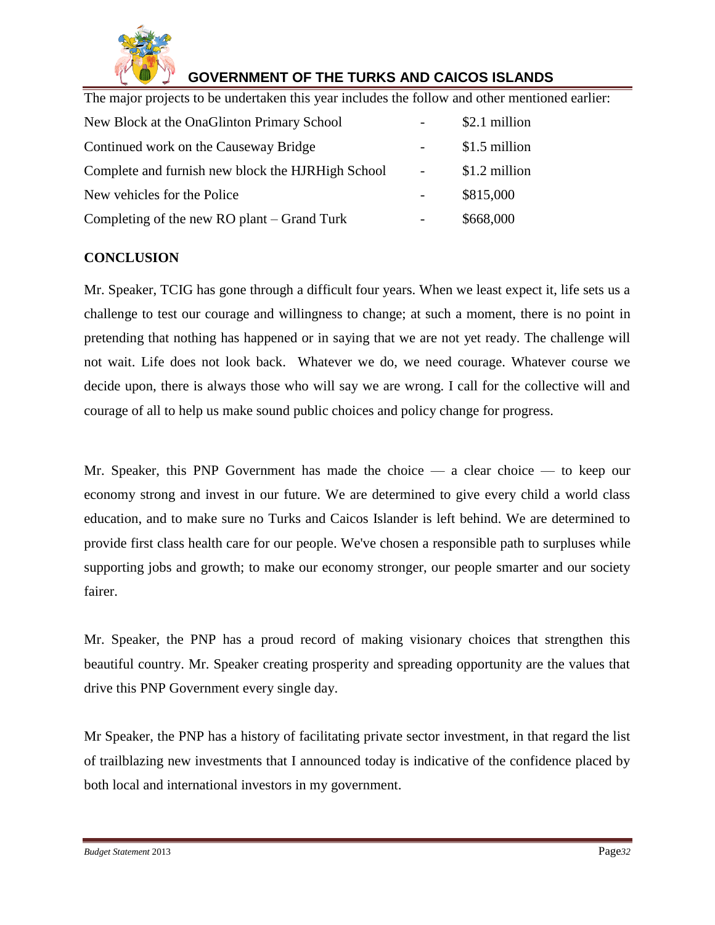

The major projects to be undertaken this year includes the follow and other mentioned earlier:

| New Block at the OnaGlinton Primary School        |                | \$2.1 million |
|---------------------------------------------------|----------------|---------------|
| Continued work on the Causeway Bridge             |                | \$1.5 million |
| Complete and furnish new block the HJRHigh School | $\blacksquare$ | \$1.2 million |
| New vehicles for the Police                       |                | \$815,000     |
| Completing of the new RO plant – Grand Turk       |                | \$668,000     |

### **CONCLUSION**

Mr. Speaker, TCIG has gone through a difficult four years. When we least expect it, life sets us a challenge to test our courage and willingness to change; at such a moment, there is no point in pretending that nothing has happened or in saying that we are not yet ready. The challenge will not wait. Life does not look back. Whatever we do, we need courage. Whatever course we decide upon, there is always those who will say we are wrong. I call for the collective will and courage of all to help us make sound public choices and policy change for progress.

Mr. Speaker, this PNP Government has made the choice — a clear choice — to keep our economy strong and invest in our future. We are determined to give every child a world class education, and to make sure no Turks and Caicos Islander is left behind. We are determined to provide first class health care for our people. We've chosen a responsible path to surpluses while supporting jobs and growth; to make our economy stronger, our people smarter and our society fairer.

Mr. Speaker, the PNP has a proud record of making visionary choices that strengthen this beautiful country. Mr. Speaker creating prosperity and spreading opportunity are the values that drive this PNP Government every single day.

Mr Speaker, the PNP has a history of facilitating private sector investment, in that regard the list of trailblazing new investments that I announced today is indicative of the confidence placed by both local and international investors in my government.

*Budget Statement* 2013 Page*32*